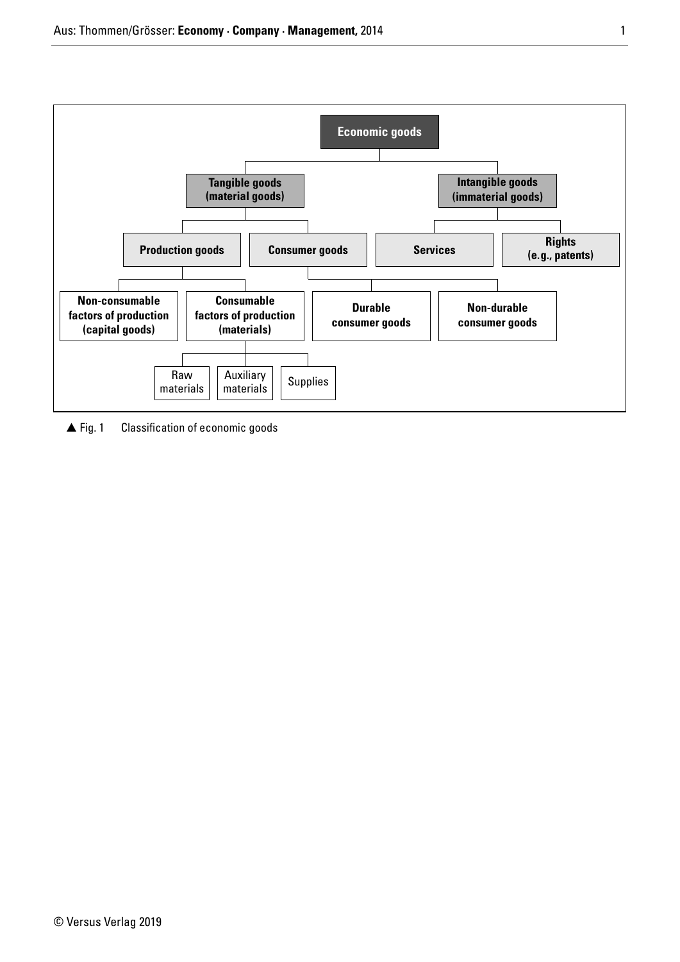

 $\triangle$  Fig. 1 Classification of economic goods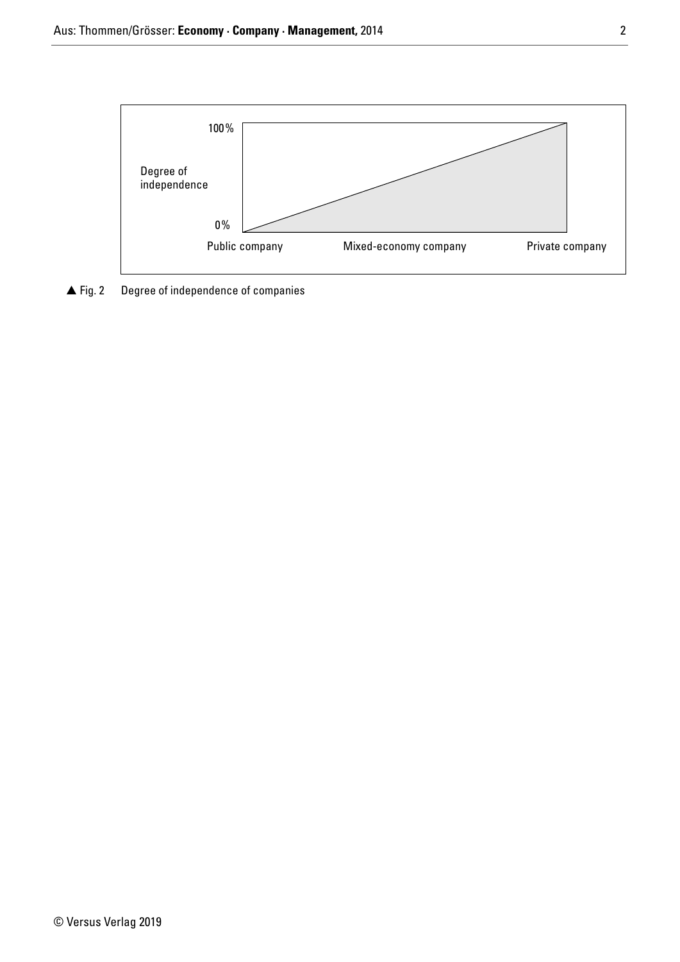

 $\blacktriangle$  Fig. 2 Degree of independence of companies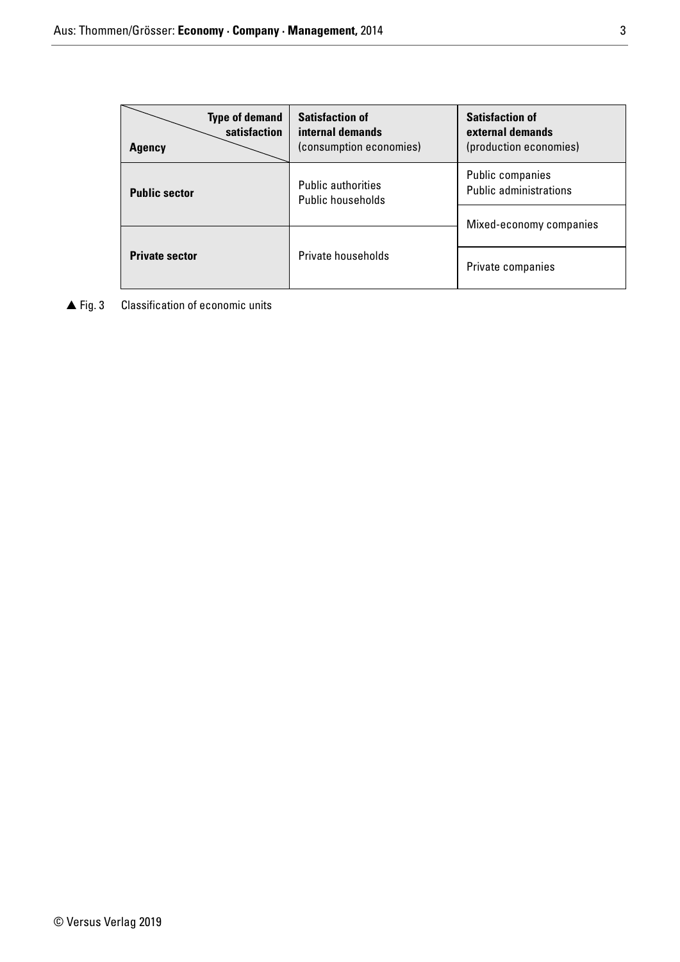| <b>Type of demand</b><br>satisfaction<br><b>Agency</b> | <b>Satisfaction of</b><br>internal demands<br>(consumption economies) | <b>Satisfaction of</b><br>external demands<br>(production economies) |  |
|--------------------------------------------------------|-----------------------------------------------------------------------|----------------------------------------------------------------------|--|
| <b>Public sector</b>                                   | <b>Public authorities</b><br>Public households                        | Public companies<br><b>Public administrations</b>                    |  |
|                                                        |                                                                       | Mixed-economy companies                                              |  |
| <b>Private sector</b>                                  | Private households                                                    | Private companies                                                    |  |

▲ Fig. 3 Classification of economic units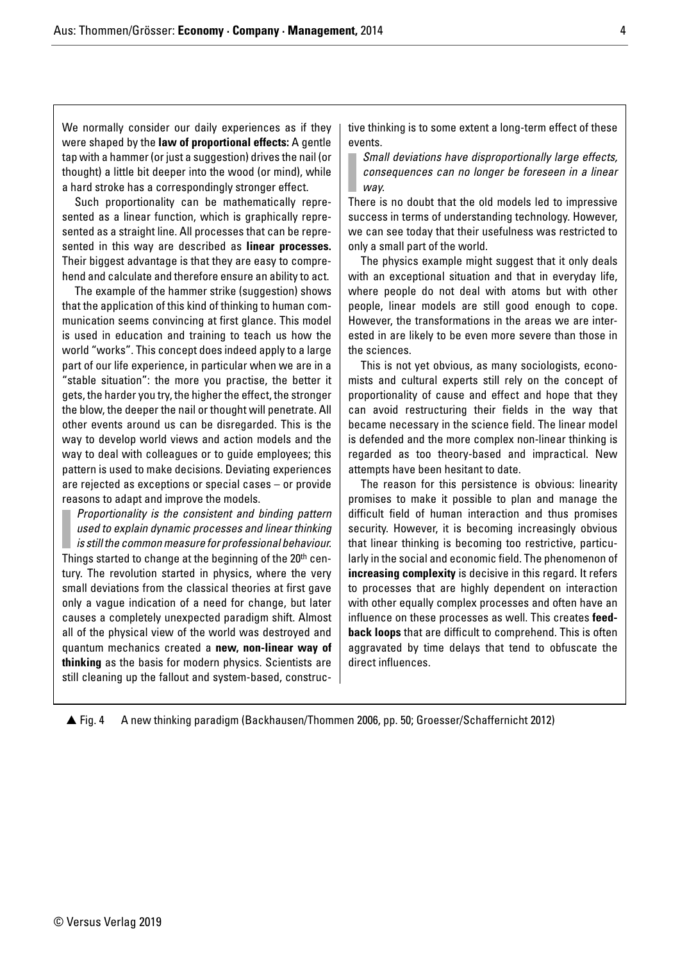We normally consider our daily experiences as if they were shaped by the **law of proportional effects:** A gentle tap with a hammer (or just a suggestion) drives the nail (or thought) a little bit deeper into the wood (or mind), while a hard stroke has a correspondingly stronger effect.

Such proportionality can be mathematically represented as a linear function, which is graphically represented as a straight line. All processes that can be represented in this way are described as **linear processes.** Their biggest advantage is that they are easy to comprehend and calculate and therefore ensure an ability to act.

The example of the hammer strike (suggestion) shows that the application of this kind of thinking to human communication seems convincing at first glance. This model is used in education and training to teach us how the world "works". This concept does indeed apply to a large part of our life experience, in particular when we are in a "stable situation": the more you practise, the better it gets, the harder you try, the higher the effect, the stronger the blow, the deeper the nail or thought will penetrate. All other events around us can be disregarded. This is the way to develop world views and action models and the way to deal with colleagues or to guide employees; this pattern is used to make decisions. Deviating experiences are rejected as exceptions or special cases – or provide reasons to adapt and improve the models.

Proportionality is the consistent and binding pattern used to explain dynamic processes and linear thinking is still the common measure for professional behaviour.

Things started to change at the beginning of the 20<sup>th</sup> century. The revolution started in physics, where the very small deviations from the classical theories at first gave only a vague indication of a need for change, but later causes a completely unexpected paradigm shift. Almost all of the physical view of the world was destroyed and quantum mechanics created a **new, non-linear way of thinking** as the basis for modern physics. Scientists are still cleaning up the fallout and system-based, constructive thinking is to some extent a long-term effect of these events.

Small deviations have disproportionally large effects, consequences can no longer be foreseen in a linear way.

There is no doubt that the old models led to impressive success in terms of understanding technology. However, we can see today that their usefulness was restricted to only a small part of the world.

The physics example might suggest that it only deals with an exceptional situation and that in everyday life, where people do not deal with atoms but with other people, linear models are still good enough to cope. However, the transformations in the areas we are interested in are likely to be even more severe than those in the sciences.

This is not yet obvious, as many sociologists, economists and cultural experts still rely on the concept of proportionality of cause and effect and hope that they can avoid restructuring their fields in the way that became necessary in the science field. The linear model is defended and the more complex non-linear thinking is regarded as too theory-based and impractical. New attempts have been hesitant to date.

The reason for this persistence is obvious: linearity promises to make it possible to plan and manage the difficult field of human interaction and thus promises security. However, it is becoming increasingly obvious that linear thinking is becoming too restrictive, particularly in the social and economic field. The phenomenon of **increasing complexity** is decisive in this regard. It refers to processes that are highly dependent on interaction with other equally complex processes and often have an influence on these processes as well. This creates **feedback loops** that are difficult to comprehend. This is often aggravated by time delays that tend to obfuscate the direct influences.

 $\triangle$  Fig. 4 Fig. 4 A new thinking paradigm (Backhausen/Thommen 2006, pp. 50; Groesser/Schaffernicht 2012)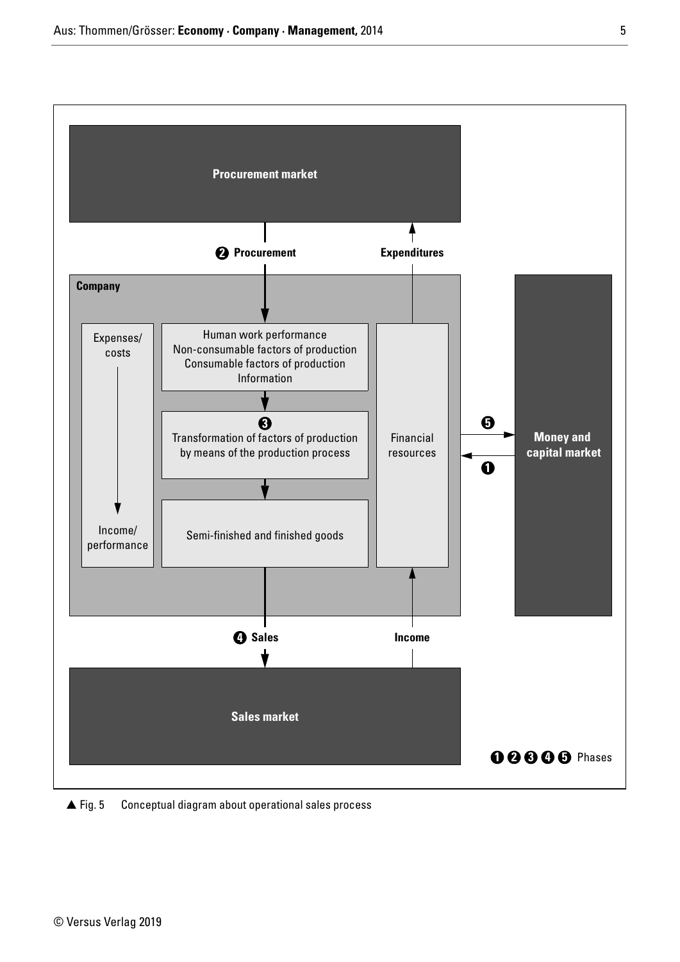

 $\triangle$  Fig. 5 Conceptual diagram about operational sales process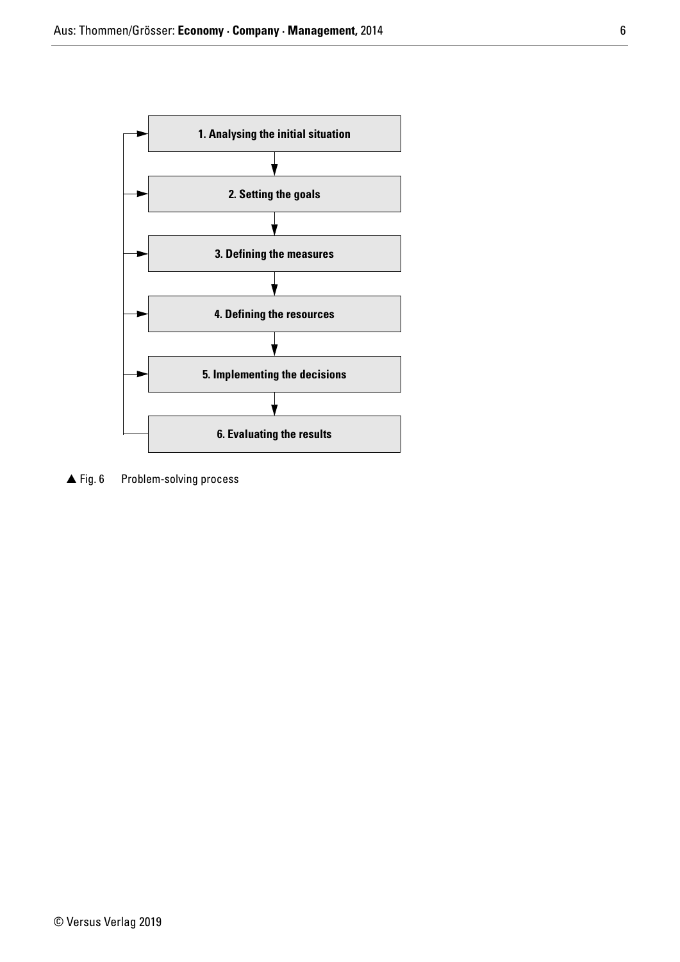

 $\blacktriangle$  Fig. 6 Problem-solving process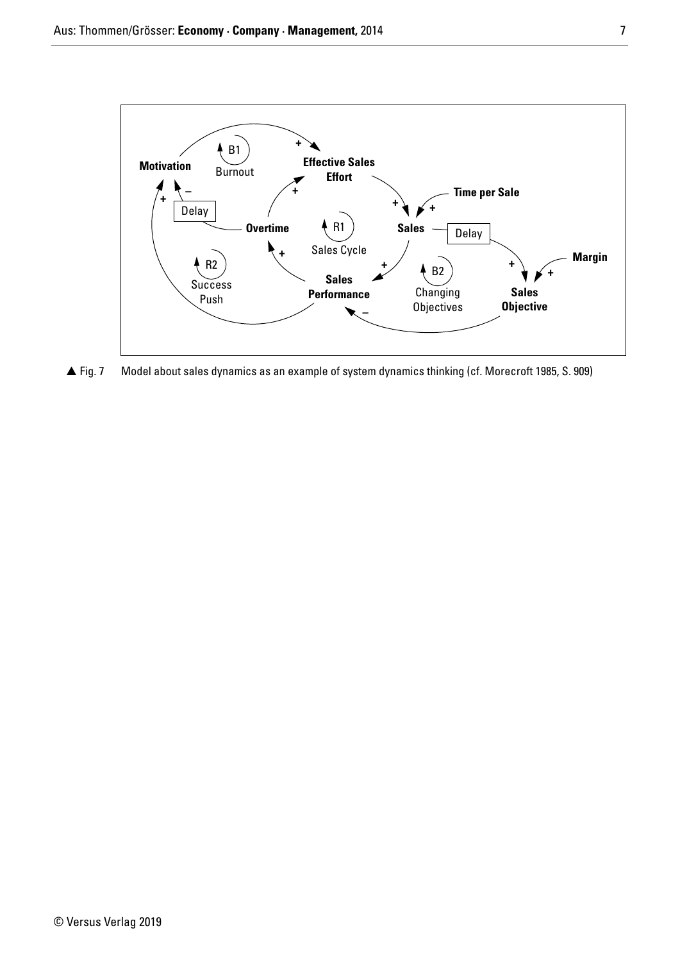

 $\triangle$  Fig. 7 Fig. 7 Model about sales dynamics as an example of system dynamics thinking (cf. Morecroft 1985, S. 909)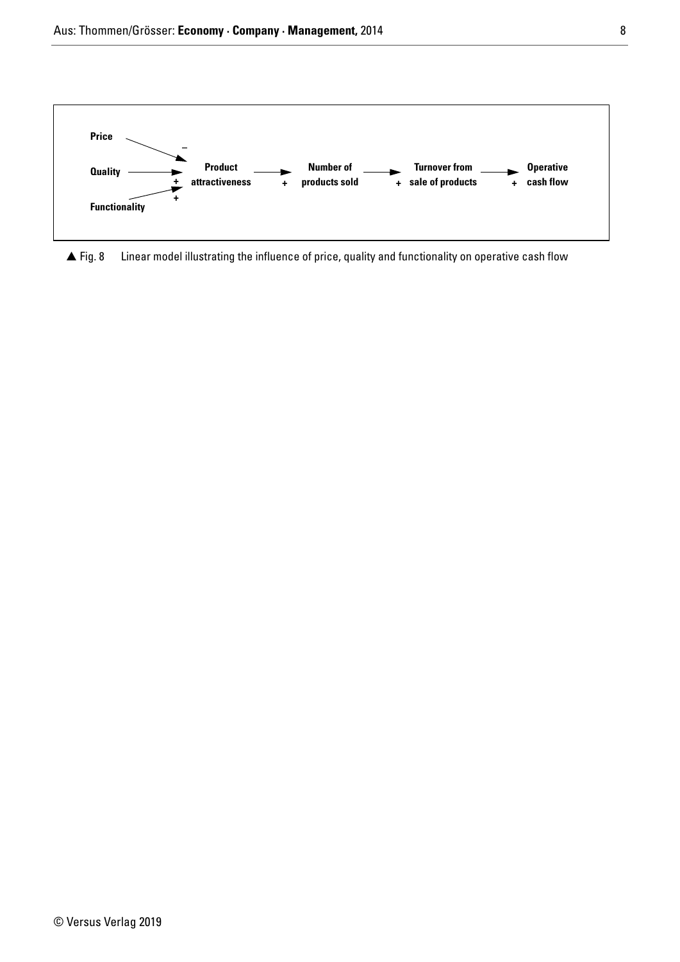

 $\triangle$  Fig. 8 Linear model illustrating the influence of price, quality and functionality on operative cash flow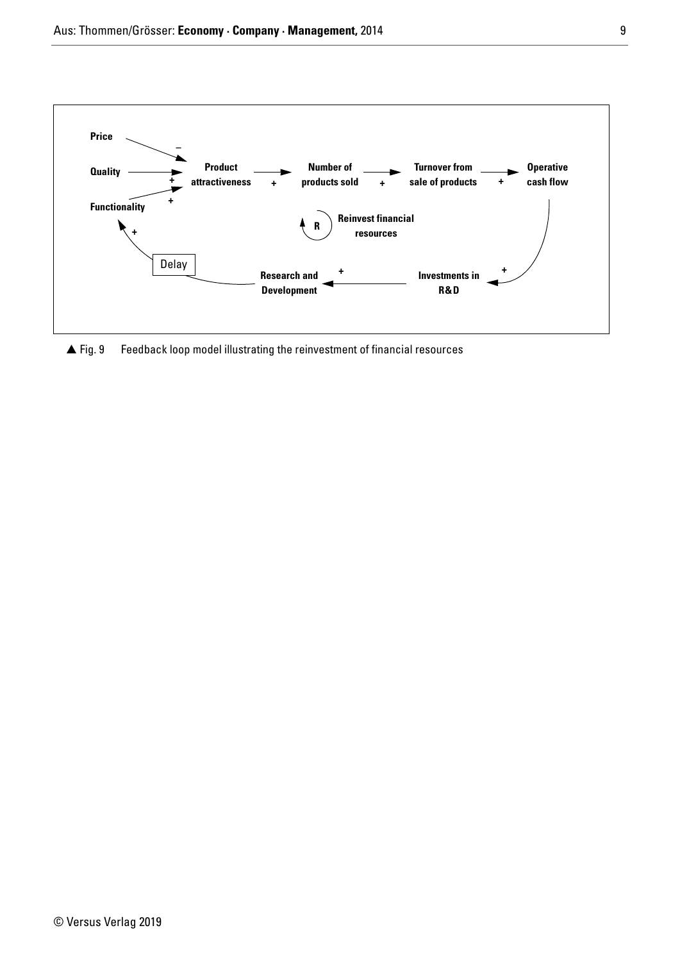

 $\blacktriangle$  Fig. 9 Feedback loop model illustrating the reinvestment of financial resources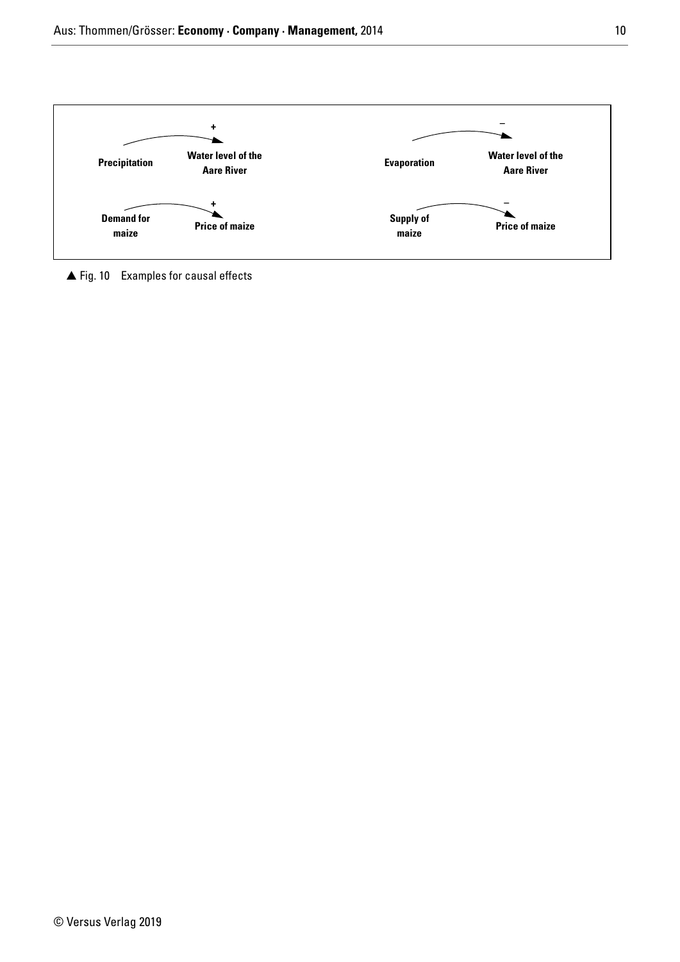

▲ Fig. 10 Examples for causal effects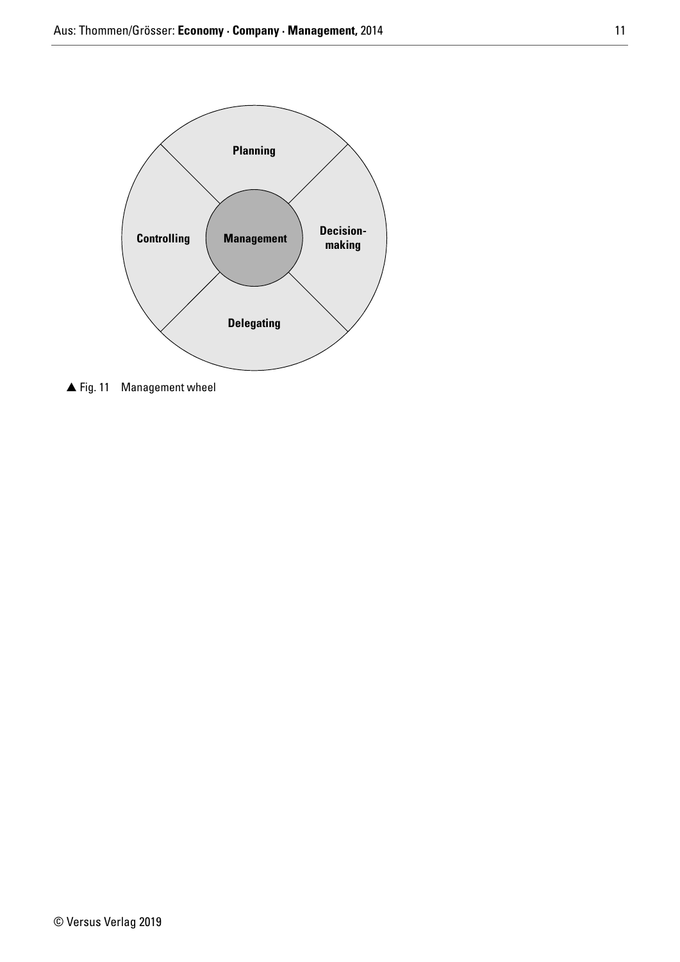

▲ Fig. 11 Management wheel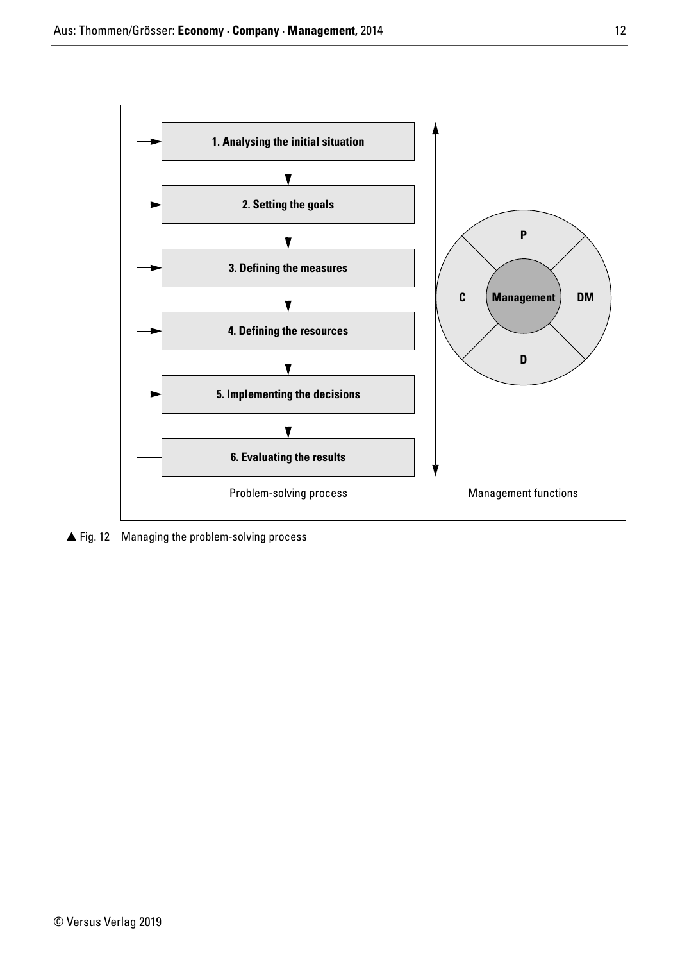

▲ Fig. 12 Managing the problem-solving process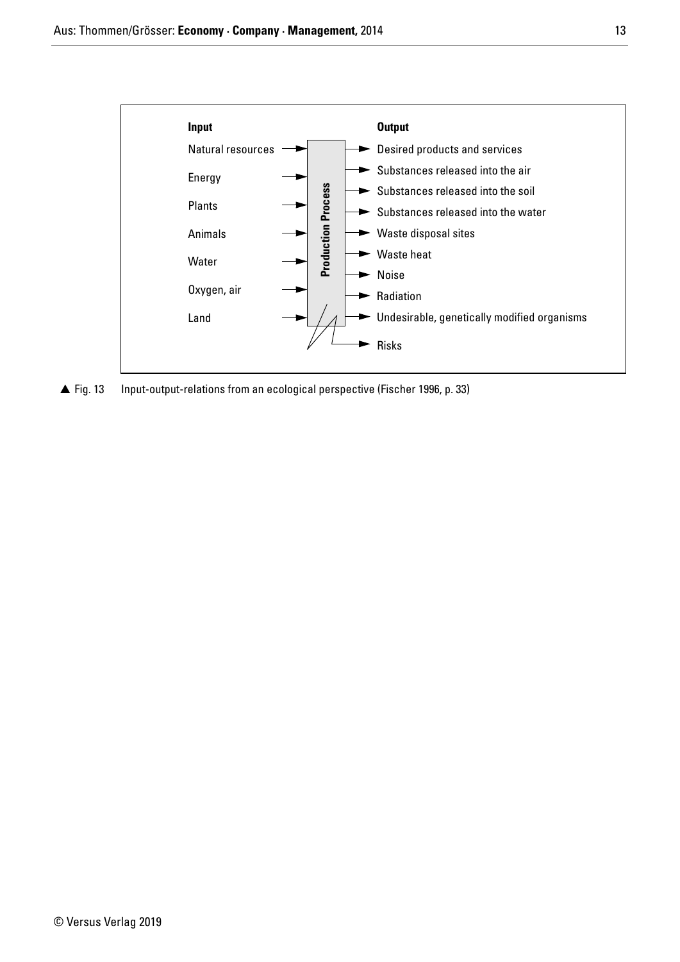

▲ Fig. 13 Input-output-relations from an ecological perspective (Fischer 1996, p. 33)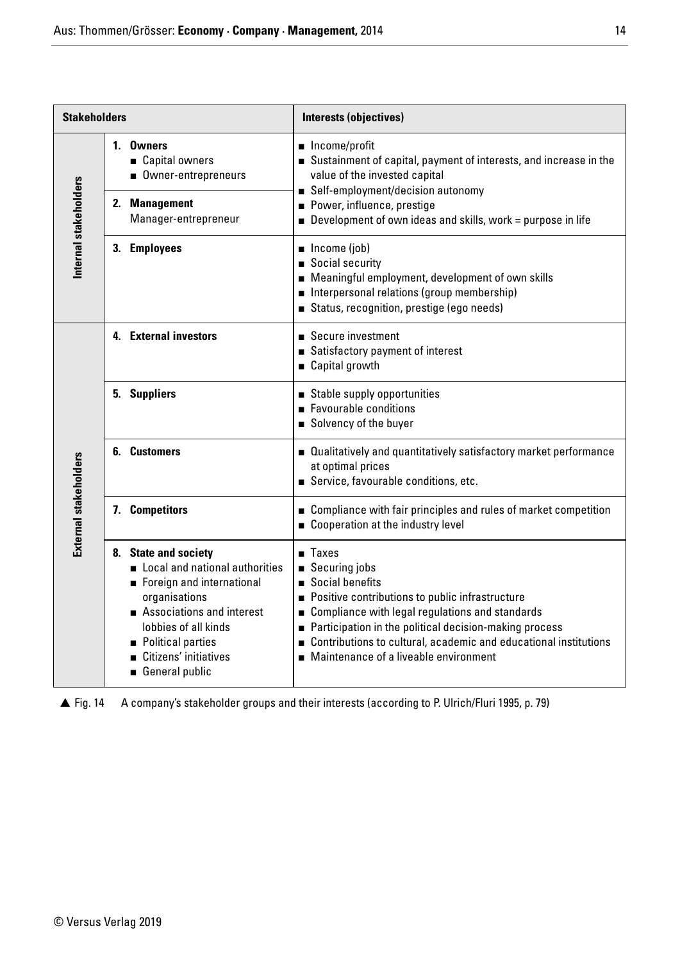| <b>Stakeholders</b>   |                                                                                                                                                                                                                           | Interests (objectives)                                                                                                                                                                                                                                                                                                                  |  |  |  |  |
|-----------------------|---------------------------------------------------------------------------------------------------------------------------------------------------------------------------------------------------------------------------|-----------------------------------------------------------------------------------------------------------------------------------------------------------------------------------------------------------------------------------------------------------------------------------------------------------------------------------------|--|--|--|--|
| Internal stakeholders | 1. Owners<br>■ Capital owners<br>Owner-entrepreneurs<br>2. Management<br>Manager-entrepreneur                                                                                                                             | ■ Income/profit<br>Sustainment of capital, payment of interests, and increase in the<br>value of the invested capital<br>■ Self-employment/decision autonomy<br>Power, influence, prestige<br>$\blacksquare$ Development of own ideas and skills, work = purpose in life                                                                |  |  |  |  |
|                       | 3. Employees                                                                                                                                                                                                              | $\blacksquare$ Income (job)<br>Social security<br>Meaningful employment, development of own skills<br>Interpersonal relations (group membership)<br>Status, recognition, prestige (ego needs)                                                                                                                                           |  |  |  |  |
|                       | 4. External investors                                                                                                                                                                                                     | ■ Secure investment<br>Satisfactory payment of interest<br>■ Capital growth                                                                                                                                                                                                                                                             |  |  |  |  |
|                       | 5. Suppliers                                                                                                                                                                                                              | Stable supply opportunities<br>Favourable conditions<br>Solvency of the buyer                                                                                                                                                                                                                                                           |  |  |  |  |
|                       | 6. Customers                                                                                                                                                                                                              | ■ Qualitatively and quantitatively satisfactory market performance<br>at optimal prices<br>Service, favourable conditions, etc.                                                                                                                                                                                                         |  |  |  |  |
|                       | 7. Competitors                                                                                                                                                                                                            | ■ Compliance with fair principles and rules of market competition<br>Cooperation at the industry level                                                                                                                                                                                                                                  |  |  |  |  |
| External stakeholders | 8. State and society<br>Local and national authorities<br>Foreign and international<br>organisations<br>Associations and interest<br>lobbies of all kinds<br>Political parties<br>Citizens' initiatives<br>General public | $\blacksquare$ Taxes<br>■ Securing jobs<br>Social benefits<br>Positive contributions to public infrastructure<br>Compliance with legal regulations and standards<br>Participation in the political decision-making process<br>Contributions to cultural, academic and educational institutions<br>Maintenance of a liveable environment |  |  |  |  |

 $\triangle$  Fig. 14 A company's stakeholder groups and their interests (according to P. Ulrich/Fluri 1995, p. 79)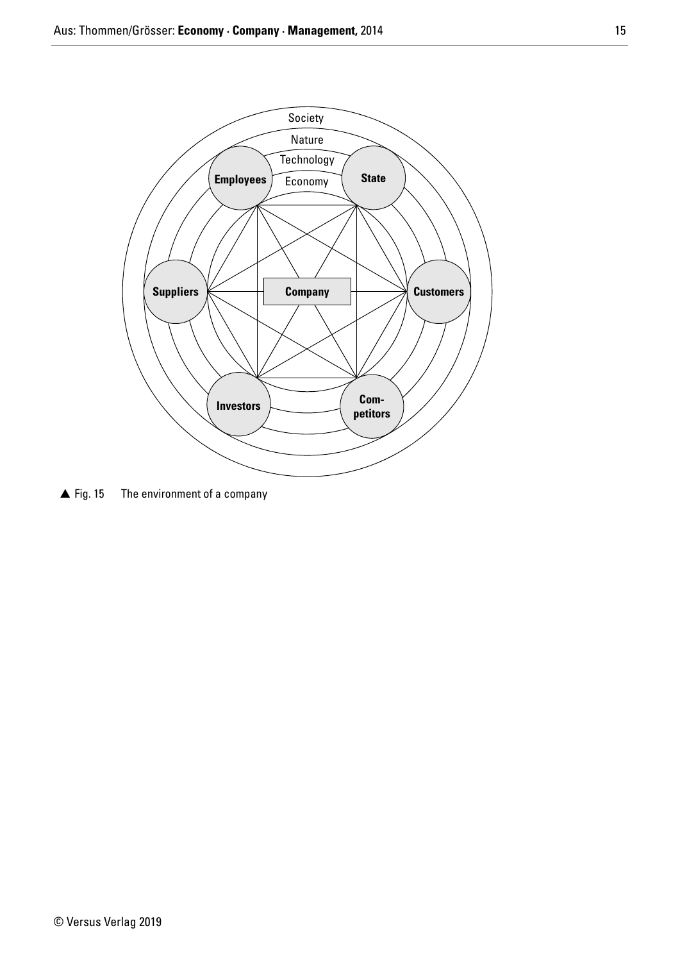

 $\triangle$  Fig. 15 The environment of a company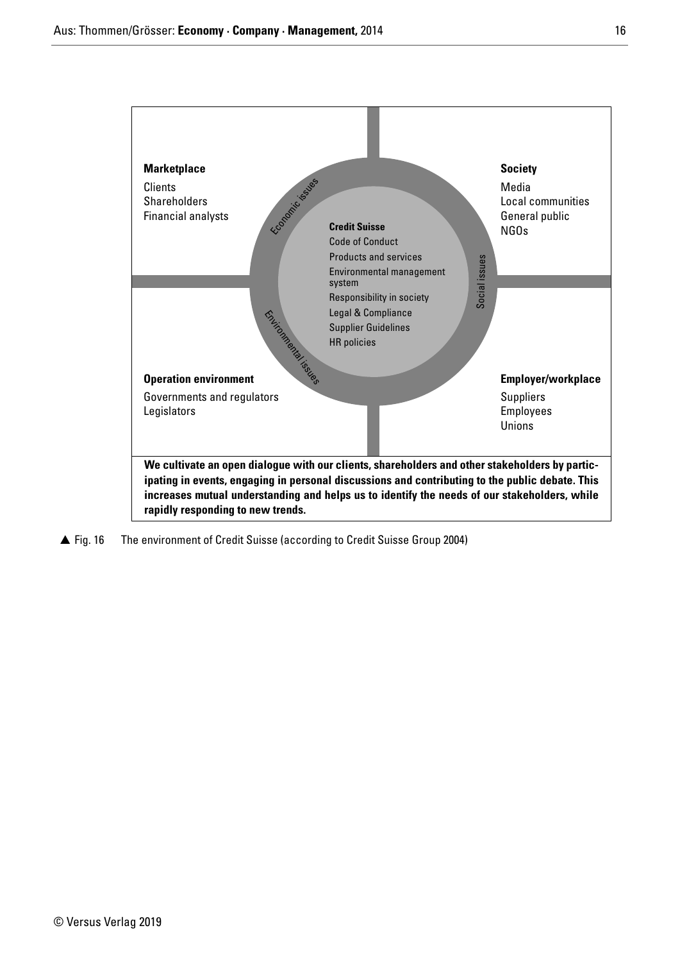

 $\triangle$  Fig. 16 The environment of Credit Suisse (according to Credit Suisse Group 2004)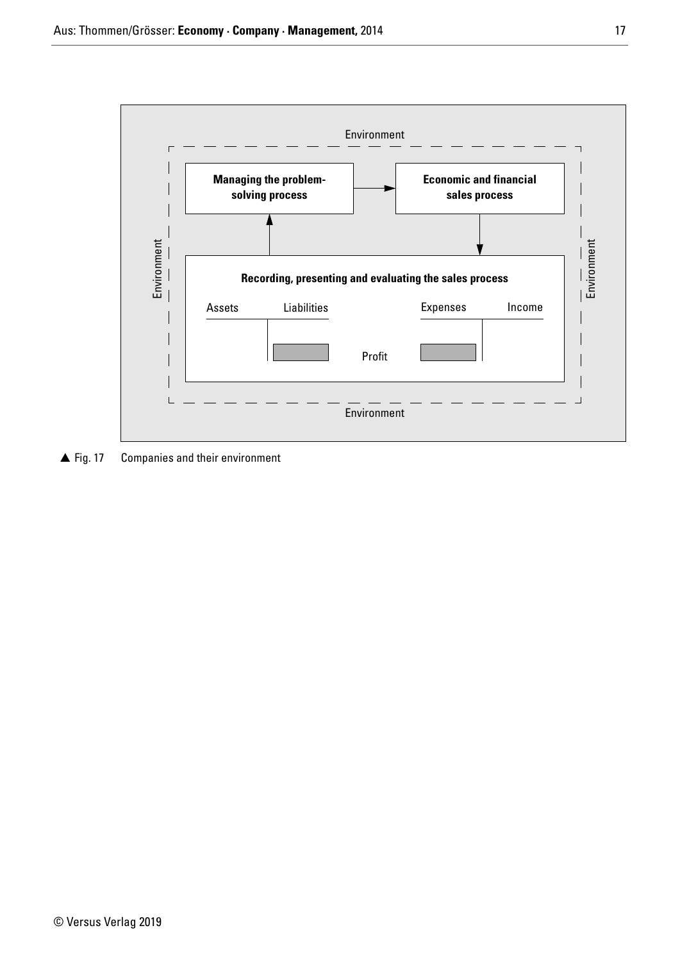

 $\triangle$  Fig. 17 Companies and their environment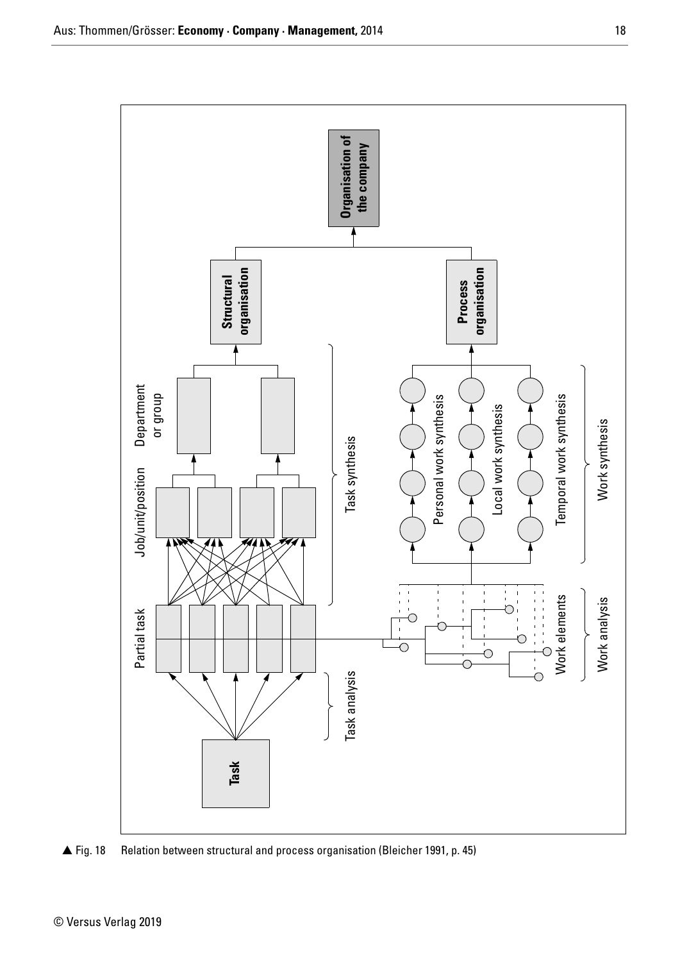

▲ Fig. 18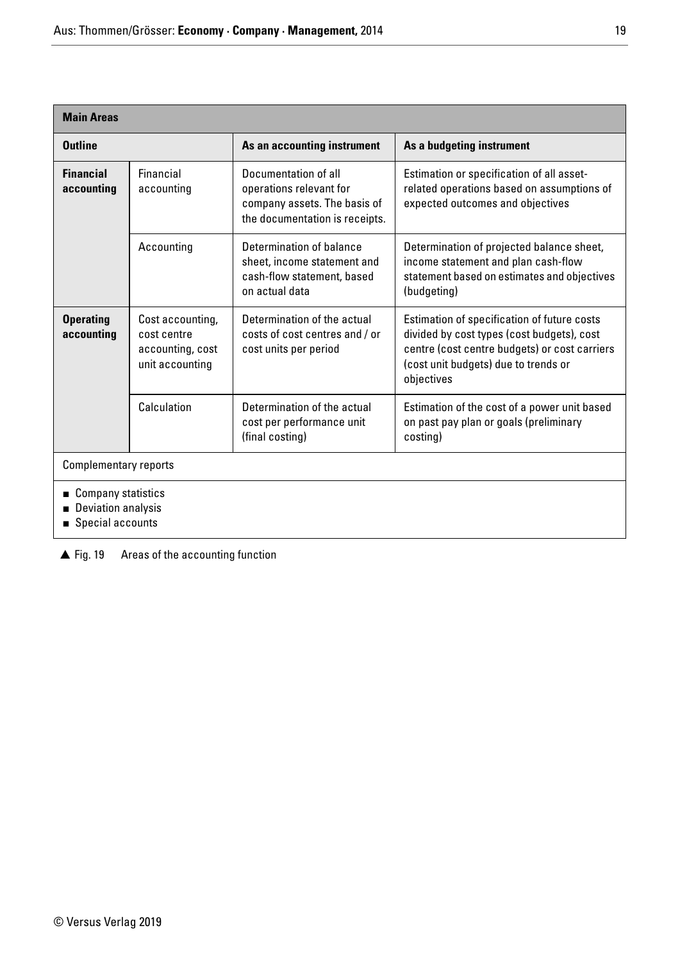| <b>Main Areas</b>                                                |                                                                        |                                                                                                                   |                                                                                                                                                                                                  |
|------------------------------------------------------------------|------------------------------------------------------------------------|-------------------------------------------------------------------------------------------------------------------|--------------------------------------------------------------------------------------------------------------------------------------------------------------------------------------------------|
| <b>Outline</b>                                                   |                                                                        | As an accounting instrument                                                                                       | As a budgeting instrument                                                                                                                                                                        |
| <b>Financial</b><br>accounting                                   | Financial<br>accounting                                                | Documentation of all<br>operations relevant for<br>company assets. The basis of<br>the documentation is receipts. | Estimation or specification of all asset-<br>related operations based on assumptions of<br>expected outcomes and objectives                                                                      |
|                                                                  | Accounting                                                             | Determination of balance<br>sheet, income statement and<br>cash-flow statement, based<br>on actual data           | Determination of projected balance sheet,<br>income statement and plan cash-flow<br>statement based on estimates and objectives<br>(budgeting)                                                   |
| <b>Operating</b><br>accounting                                   | Cost accounting,<br>cost centre<br>accounting, cost<br>unit accounting | Determination of the actual<br>costs of cost centres and / or<br>cost units per period                            | Estimation of specification of future costs<br>divided by cost types (cost budgets), cost<br>centre (cost centre budgets) or cost carriers<br>(cost unit budgets) due to trends or<br>objectives |
|                                                                  | Calculation                                                            | Determination of the actual<br>cost per performance unit<br>(final costing)                                       | Estimation of the cost of a power unit based<br>on past pay plan or goals (preliminary<br>costing)                                                                                               |
| <b>Complementary reports</b>                                     |                                                                        |                                                                                                                   |                                                                                                                                                                                                  |
| ■ Company statistics<br>Deviation analysis<br>■ Special accounts |                                                                        |                                                                                                                   |                                                                                                                                                                                                  |

▲ Fig. 19 Areas of the accounting function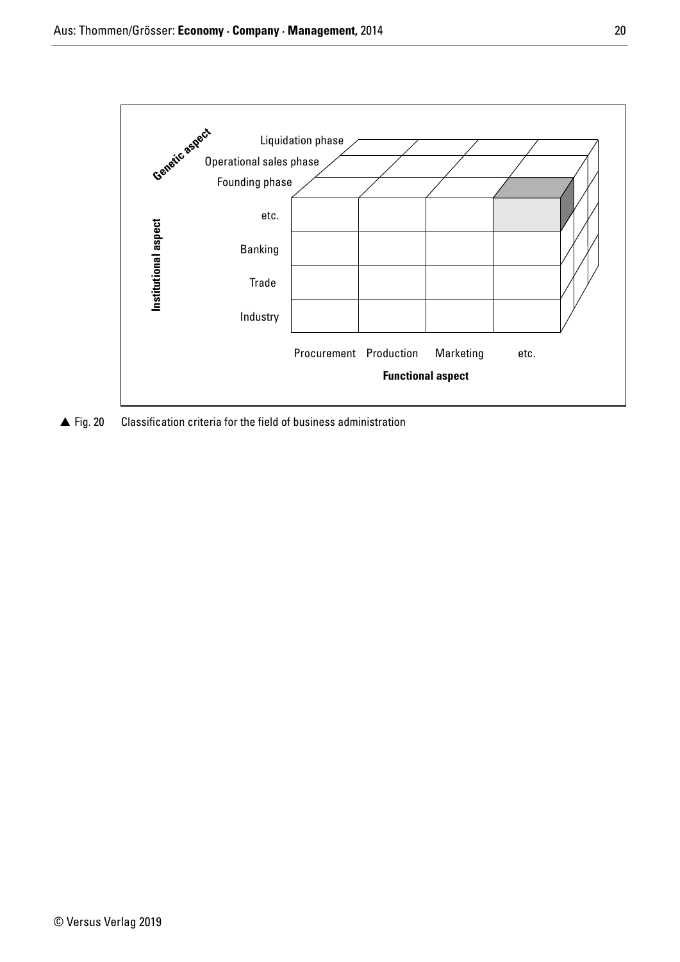

 $\triangle$  Fig. 20 Classification criteria for the field of business administration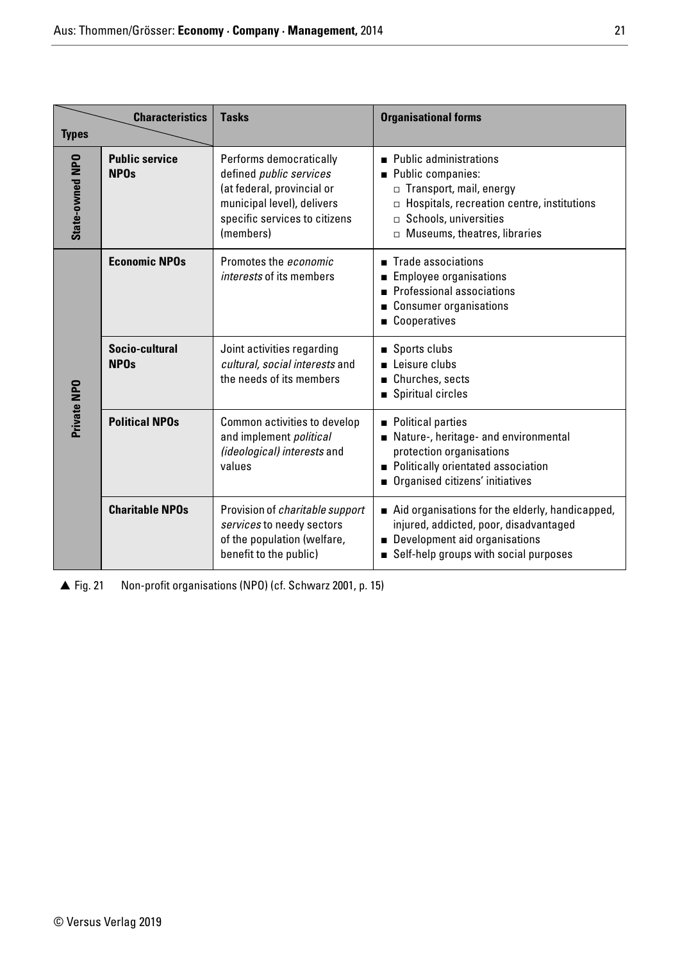| <b>Types</b>    | <b>Characteristics</b>               | <b>Tasks</b>                                                                                                                                                        | <b>Organisational forms</b>                                                                                                                                                                            |
|-----------------|--------------------------------------|---------------------------------------------------------------------------------------------------------------------------------------------------------------------|--------------------------------------------------------------------------------------------------------------------------------------------------------------------------------------------------------|
| State-owned NPO | <b>Public service</b><br><b>NPOs</b> | Performs democratically<br>defined <i>public</i> services<br>(at federal, provincial or<br>municipal level), delivers<br>specific services to citizens<br>(members) | ■ Public administrations<br>Public companies:<br>□ Transport, mail, energy<br>$\Box$ Hospitals, recreation centre, institutions<br>$\Box$ Schools, universities<br>$\Box$ Museums, theatres, libraries |
|                 | <b>Economic NPOs</b>                 | Promotes the economic<br><i>interests</i> of its members                                                                                                            | Trade associations<br><b>Employee organisations</b><br>Professional associations<br>■ Consumer organisations<br>■ Cooperatives                                                                         |
|                 | Socio-cultural<br><b>NPOs</b>        | Joint activities regarding<br>cultural, social interests and<br>the needs of its members                                                                            | Sports clubs<br>Leisure clubs<br>Churches, sects<br>Spiritual circles                                                                                                                                  |
| Private NPO     | <b>Political NPOs</b>                | Common activities to develop<br>and implement political<br>(ideological) interests and<br>values                                                                    | Political parties<br>Nature-, heritage- and environmental<br>protection organisations<br>Politically orientated association<br>Organised citizens' initiatives                                         |
|                 | <b>Charitable NPOs</b>               | Provision of <i>charitable support</i><br>services to needy sectors<br>of the population (welfare,<br>benefit to the public)                                        | Aid organisations for the elderly, handicapped,<br>injured, addicted, poor, disadvantaged<br>Development aid organisations<br>Self-help groups with social purposes                                    |

 $\triangle$  Fig. 21 Non-profit organisations (NPO) (cf. Schwarz 2001, p. 15)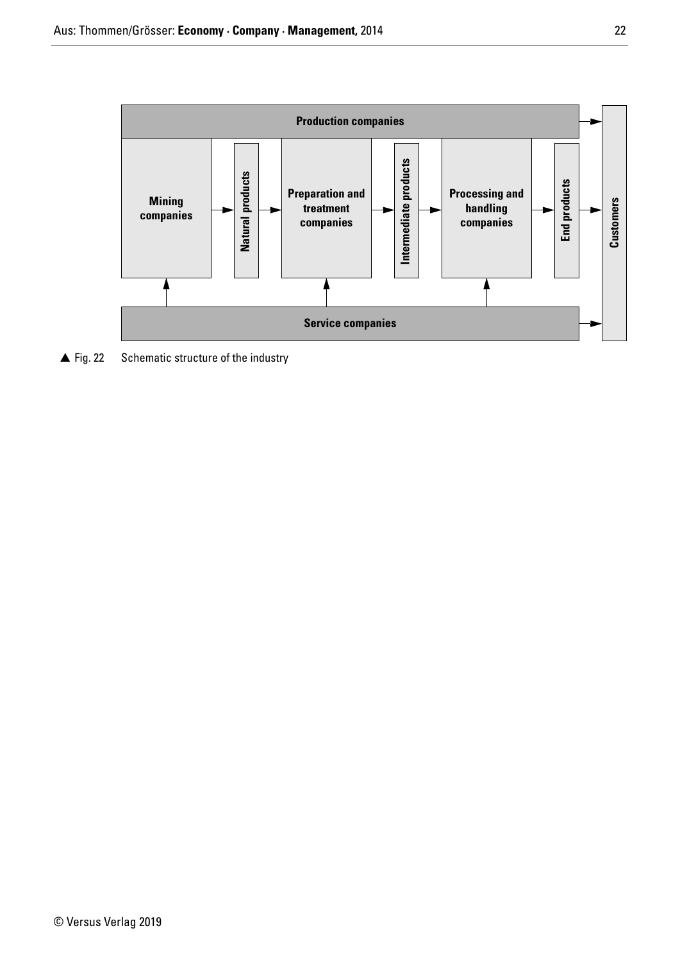

 $\triangle$  Fig. 22 Schematic structure of the industry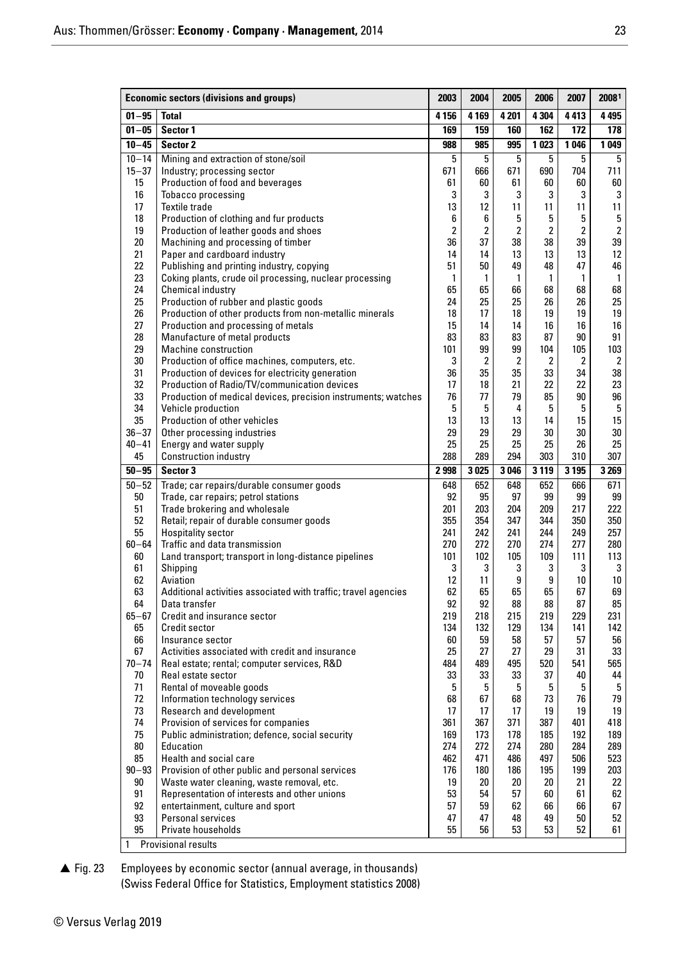|                     | <b>Economic sectors (divisions and groups)</b>                                                     | 2003           | 2004           | 2005                    | 2006                 | 2007                    | 20081                |
|---------------------|----------------------------------------------------------------------------------------------------|----------------|----------------|-------------------------|----------------------|-------------------------|----------------------|
| $01 - 95$           | <b>Total</b>                                                                                       | 4 1 5 6        | 4 1 6 9        | 4 2 0 1                 | 4 3 0 4              | 4413                    | 4 4 9 5              |
| $01 - 05$           | Sector 1                                                                                           | 169            | 159            | 160                     | 162                  | 172                     | 178                  |
| $10 - 45$           | Sector 2                                                                                           | 988            | 985            | 995                     | 1 0 23               | 1046                    | 1 0 4 9              |
| $10 - 14$           | Mining and extraction of stone/soil                                                                | 5              | 5              | 5                       | $5\phantom{.0}$      | 5                       | 5                    |
| $15 - 37$           | Industry; processing sector                                                                        | 671            | 666            | 671                     | 690                  | 704                     | 711                  |
| 15<br>16            | Production of food and beverages<br>Tobacco processing                                             | 61<br>3        | 60<br>3        | 61<br>3                 | 60<br>3              | 60<br>3                 | 60<br>3              |
| 17                  | <b>Textile trade</b>                                                                               | 13             | 12             | 11                      | 11                   | 11                      | 11                   |
| 18                  | Production of clothing and fur products                                                            | 6              | 6              | 5                       | 5                    | 5                       | $5\phantom{.0}$      |
| 19                  | Production of leather goods and shoes                                                              | $\overline{2}$ | $\overline{2}$ | $\overline{\mathbf{2}}$ | $\overline{2}$       | $\overline{\mathbf{2}}$ | $\overline{2}$       |
| 20                  | Machining and processing of timber                                                                 | 36             | 37             | 38                      | 38                   | 39                      | 39                   |
| 21<br>22            | Paper and cardboard industry<br>Publishing and printing industry, copying                          | 14<br>51       | 14<br>50       | 13<br>49                | 13<br>48             | 13<br>47                | 12<br>46             |
| 23                  | Coking plants, crude oil processing, nuclear processing                                            | $\mathbf{1}$   | 1              | $\mathbf{1}$            | $\mathbf{1}$         | 1                       | $\mathbf{1}$         |
| 24                  | Chemical industry                                                                                  | 65             | 65             | 66                      | 68                   | 68                      | 68                   |
| 25                  | Production of rubber and plastic goods                                                             | 24             | 25             | 25                      | 26                   | 26                      | 25                   |
| 26                  | Production of other products from non-metallic minerals                                            | 18             | 17             | 18                      | 19                   | 19                      | 19                   |
| 27                  | Production and processing of metals                                                                | 15             | 14             | 14                      | 16                   | 16                      | 16                   |
| 28                  | Manufacture of metal products                                                                      | 83             | 83             | 83                      | 87                   | 90                      | 91                   |
| 29                  | Machine construction                                                                               | 101            | 99             | 99                      | 104                  | 105                     | 103                  |
| 30<br>31            | Production of office machines, computers, etc.<br>Production of devices for electricity generation | 3<br>36        | 2<br>35        | $\overline{2}$<br>35    | $\overline{2}$<br>33 | 2<br>34                 | $\overline{2}$<br>38 |
| 32                  | Production of Radio/TV/communication devices                                                       | 17             | 18             | 21                      | 22                   | 22                      | 23                   |
| 33                  | Production of medical devices, precision instruments; watches                                      | 76             | 77             | 79                      | 85                   | 90                      | 96                   |
| 34                  | Vehicle production                                                                                 | 5              | 5              | 4                       | 5                    | 5                       | $5\phantom{.0}$      |
| 35                  | Production of other vehicles                                                                       | 13             | 13             | 13                      | 14                   | 15                      | 15                   |
| $36 - 37$           | Other processing industries                                                                        | 29             | 29             | 29                      | 30                   | 30                      | $30\,$               |
| $40 - 41$           | Energy and water supply                                                                            | 25             | 25             | 25                      | 25                   | 26                      | 25                   |
| 45                  | <b>Construction industry</b>                                                                       | 288            | 289            | 294                     | 303                  | 310                     | 307                  |
| $50 - 95$           | Sector 3                                                                                           | 2998           | 3025           | 3046                    | 3 1 1 9              | 3195                    | 3 2 6 9              |
| $50 - 52$<br>$50\,$ | Trade; car repairs/durable consumer goods<br>Trade, car repairs; petrol stations                   | 648<br>92      | 652<br>95      | 648<br>97               | 652<br>99            | 666<br>99               | 671<br>99            |
| 51                  | Trade brokering and wholesale                                                                      | 201            | 203            | 204                     | 209                  | 217                     | 222                  |
| 52                  | Retail; repair of durable consumer goods                                                           | 355            | 354            | 347                     | 344                  | 350                     | 350                  |
| 55                  | <b>Hospitality sector</b>                                                                          | 241            | 242            | 241                     | 244                  | 249                     | 257                  |
| $60 - 64$           | Traffic and data transmission                                                                      | 270            | 272            | 270                     | 274                  | 277                     | 280                  |
| 60                  | Land transport; transport in long-distance pipelines                                               | 101            | 102            | 105                     | 109                  | 111                     | 113                  |
| 61<br>62            | Shipping<br>Aviation                                                                               | 3<br>12        | 3<br>11        | 3<br>9                  | 3<br>9               | 3<br>10                 | 3<br>10 <sup>°</sup> |
| 63                  | Additional activities associated with traffic; travel agencies                                     | 62             | 65             | 65                      | 65                   | 67                      | 69                   |
| 64                  | Data transfer                                                                                      | 92             | 92             | 88                      | 88                   | 87                      | 85                   |
| $65 - 67$           | Credit and insurance sector                                                                        | 219            | 218            | 215                     | 219                  | 229                     | 231                  |
| 65                  | Credit sector                                                                                      | 134            | 132            | 129                     | 134                  | 141                     | 142                  |
| 66                  | Insurance sector                                                                                   | 60             | 59             | 58                      | 57                   | 57                      | 56                   |
| 67                  | Activities associated with credit and insurance                                                    | 25             | 27             | 27                      | 29                   | 31                      | 33                   |
| $70 - 74$           | Real estate; rental; computer services, R&D                                                        | 484            | 489            | 495                     | 520                  | 541                     | 565                  |
| 70<br>71            | Real estate sector<br>Rental of moveable goods                                                     | 33<br>5        | 33<br>5        | 33<br>5                 | 37<br>5              | 40<br>5                 | 44<br>5              |
| 72                  | Information technology services                                                                    | 68             | 67             | 68                      | 73                   | 76                      | 79                   |
| 73                  | Research and development                                                                           | 17             | 17             | 17                      | 19                   | 19                      | 19                   |
| 74                  | Provision of services for companies                                                                | 361            | 367            | 371                     | 387                  | 401                     | 418                  |
| 75                  | Public administration; defence, social security                                                    | 169            | 173            | 178                     | 185                  | 192                     | 189                  |
| $80\,$              | Education                                                                                          | 274            | 272            | 274                     | 280                  | 284                     | 289                  |
| 85                  | Health and social care                                                                             | 462            | 471            | 486                     | 497                  | 506                     | 523                  |
| $90 - 93$           | Provision of other public and personal services                                                    | 176            | 180            | 186                     | 195                  | 199                     | 203                  |
| 90<br>91            | Waste water cleaning, waste removal, etc.<br>Representation of interests and other unions          | 19<br>53       | 20<br>54       | 20<br>57                | 20<br>60             | 21<br>61                | 22<br>62             |
| 92                  | entertainment, culture and sport                                                                   | 57             | 59             | 62                      | 66                   | 66                      | 67                   |
| 93                  | Personal services                                                                                  | 47             | 47             | 48                      | 49                   | 50                      | 52                   |
| 95                  | Private households                                                                                 | 55             | 56             | 53                      | 53                   | 52                      | 61                   |
| 1                   | <b>Provisional results</b>                                                                         |                |                |                         |                      |                         |                      |

 $\triangle$  Fig. 23 Employees by economic sector (annual average, in thousands) (Swiss Federal Office for Statistics, Employment statistics 2008)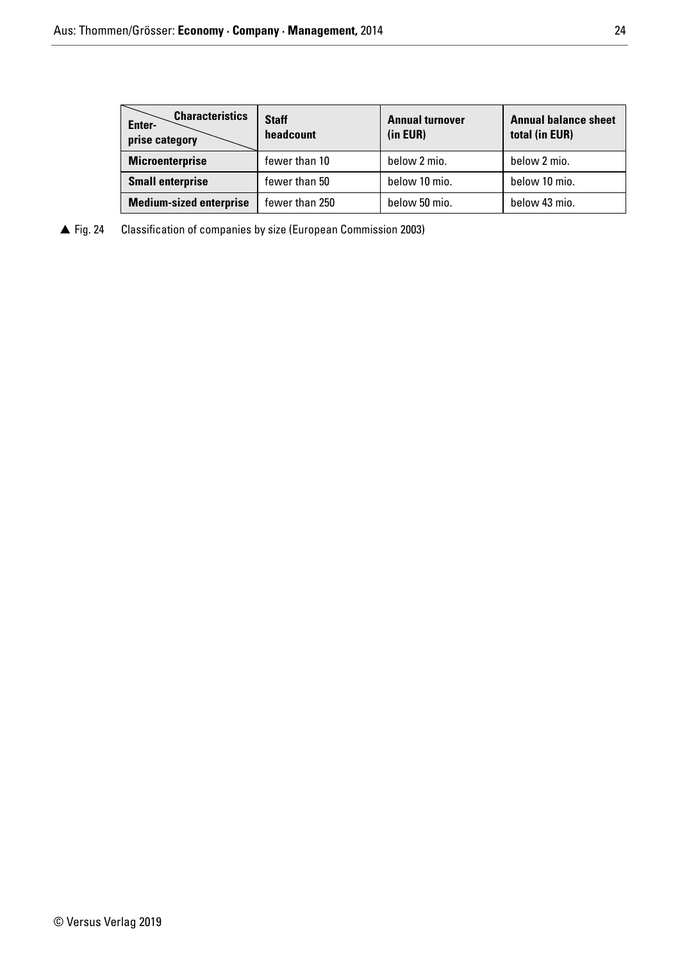| <b>Characteristics</b><br>Enter-<br>prise category | <b>Staff</b><br>headcount | <b>Annual turnover</b><br>(in EUR) | <b>Annual balance sheet</b><br>total (in EUR) |  |
|----------------------------------------------------|---------------------------|------------------------------------|-----------------------------------------------|--|
| <b>Microenterprise</b>                             | fewer than 10             | below 2 mio.                       | below 2 mio.                                  |  |
| <b>Small enterprise</b>                            | fewer than 50             | below 10 mio.                      | below 10 mio.                                 |  |
| <b>Medium-sized enterprise</b>                     | fewer than 250            | below 50 mio.                      | below 43 mio.                                 |  |

 $\triangle$  Fig. 24 Classification of companies by size (European Commission 2003)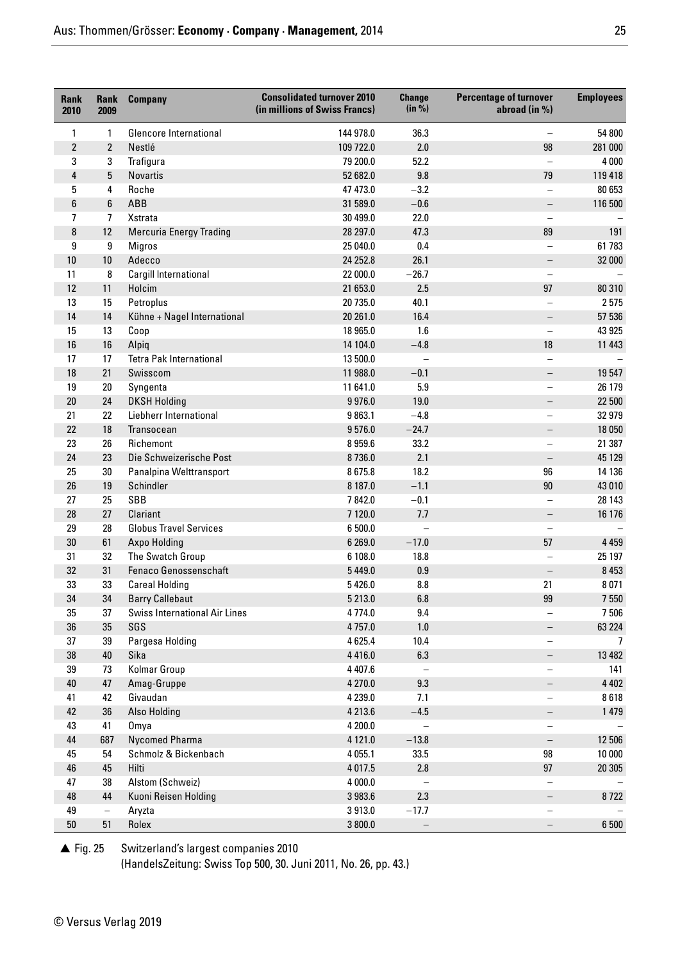| <b>Rank</b><br>2010 | <b>Rank</b><br>2009 | <b>Company</b>                       | <b>Consolidated turnover 2010</b><br>(in millions of Swiss Francs) | <b>Change</b><br>(in %)  | <b>Percentage of turnover</b><br>abroad (in %) | <b>Employees</b> |
|---------------------|---------------------|--------------------------------------|--------------------------------------------------------------------|--------------------------|------------------------------------------------|------------------|
| 1                   | 1                   | <b>Glencore International</b>        | 144 978.0                                                          | 36.3                     |                                                | 54 800           |
| $\overline{2}$      | $\overline{2}$      | Nestlé                               | 109 722.0                                                          | 2.0                      | 98                                             | 281 000          |
| 3                   | 3                   | Trafigura                            | 79 200.0                                                           | 52.2                     |                                                | 4 000            |
| 4                   | 5                   | <b>Novartis</b>                      | 52 682.0                                                           | 9.8                      | 79                                             | 119 418          |
| 5                   | 4                   | Roche                                | 47 473.0                                                           | $-3.2$                   |                                                | 80 653           |
| 6                   | $6\phantom{1}$      | ABB                                  | 31 589.0                                                           | $-0.6$                   | $\qquad \qquad -$                              | 116 500          |
| 7                   | $\overline{7}$      | Xstrata                              | 30 499.0                                                           | 22.0                     |                                                |                  |
| 8                   | 12                  | <b>Mercuria Energy Trading</b>       | 28 297.0                                                           | 47.3                     | 89                                             | 191              |
| 9                   | 9                   | <b>Migros</b>                        | 25 040.0                                                           | 0.4                      |                                                | 61 783           |
| 10                  | 10                  | Adecco                               | 24 25 2.8                                                          | 26.1                     | $\qquad \qquad -$                              | 32 000           |
| 11                  | 8                   | Cargill International                | 22 000.0                                                           | $-26.7$                  |                                                |                  |
| 12                  | 11                  | Holcim                               | 21 653.0                                                           | 2.5                      | 97                                             | 80 310           |
| 13                  | 15                  | Petroplus                            | 20 735.0                                                           | 40.1                     |                                                | 2575             |
| 14                  | 14                  | Kühne + Nagel International          | 20 261.0                                                           | 16.4                     | $\qquad \qquad -$                              | 57 536           |
| 15                  | 13                  | Coop                                 | 18 965.0                                                           | 1.6                      | $\overline{\phantom{0}}$                       | 43 925           |
| 16                  | 16                  | Alpiq                                | 14 104.0                                                           | $-4.8$                   | 18                                             | 11 443           |
| 17                  | 17                  | <b>Tetra Pak International</b>       | 13 500.0                                                           | $\overline{\phantom{0}}$ |                                                |                  |
| 18                  | 21                  | Swisscom                             | 11 988.0                                                           | $-0.1$                   |                                                | 19 547           |
| 19                  | $20\,$              | Syngenta                             | 11 641.0                                                           | 5.9                      | $\overline{\phantom{0}}$                       | 26 179           |
| $20\,$              | 24                  | <b>DKSH Holding</b>                  | 9976.0                                                             | 19.0                     |                                                | 22 500           |
| 21                  | 22                  | Liebherr International               | 9863.1                                                             | $-4.8$                   | $\overline{\phantom{0}}$                       | 32 979           |
| 22                  | 18                  | Transocean                           | 9576.0                                                             | $-24.7$                  |                                                | 18 050           |
| 23                  | 26                  | Richemont                            | 8 9 5 9.6                                                          | 33.2                     | $\overline{\phantom{0}}$                       | 21 387           |
| 24                  | 23                  | Die Schweizerische Post              | 8736.0                                                             | 2.1                      |                                                | 45 129           |
| 25                  | 30                  | Panalpina Welttransport              | 8675.8                                                             | 18.2                     | 96                                             | 14 136           |
| 26                  | 19                  | Schindler                            | 8 187.0                                                            | $-1.1$                   | 90                                             | 43 010           |
| 27                  | 25                  | SBB                                  | 7842.0                                                             | $-0.1$                   |                                                | 28 143           |
| 28                  | 27                  | Clariant                             | 7 120.0                                                            | 7.7                      |                                                | 16 176           |
| 29                  | 28                  | <b>Globus Travel Services</b>        | 6 500.0                                                            |                          |                                                |                  |
| $30\,$              | 61                  | Axpo Holding                         | 6 269.0                                                            | $-17.0$                  | 57                                             | 4 4 5 9          |
| 31                  | 32                  | The Swatch Group                     | 6 108.0                                                            | 18.8                     |                                                | 25 197           |
| 32                  | 31                  | Fenaco Genossenschaft                | 5 4 4 9 .0                                                         | 0.9                      |                                                | 8 4 5 3          |
| 33                  | 33                  | <b>Careal Holding</b>                | 5 4 2 6.0                                                          | 8.8                      | 21                                             | 8071             |
| 34                  | 34                  | <b>Barry Callebaut</b>               | 5 213.0                                                            | 6.8                      | 99                                             | 7 550            |
| 35                  | 37                  | <b>Swiss International Air Lines</b> | 4774.0                                                             | 9.4                      |                                                | 7 506            |
| 36                  | 35                  | SGS                                  | 4757.0                                                             | $1.0\,$                  |                                                | 63 224           |
| 37                  | 39                  | Pargesa Holding                      | 4625.4                                                             | 10.4                     | $\qquad \qquad -$                              | $\overline{7}$   |
| 38                  | 40                  | Sika                                 | 4416.0                                                             | 6.3                      |                                                | 13 4 82          |
| 39                  | 73                  | Kolmar Group                         | 4 4 0 7 .6                                                         |                          |                                                | 141              |
| $40\,$              | 47                  | Amag-Gruppe                          | 4 270.0                                                            | 9.3                      |                                                | 4 4 0 2          |
| 41                  | 42                  | Givaudan                             | 4 2 3 9.0                                                          | 7.1                      |                                                | 8618             |
| 42                  | 36                  | <b>Also Holding</b>                  | 4 2 1 3.6                                                          | $-4.5$                   |                                                | 1 479            |
| 43                  | 41                  | Omya                                 | 4 200.0                                                            |                          |                                                |                  |
| 44                  | 687                 | Nycomed Pharma                       | 4 121.0                                                            | $-13.8$                  |                                                | 12 506           |
| 45                  | 54                  | Schmolz & Bickenbach                 | 4 0 5 5.1                                                          | 33.5                     | 98                                             | 10 000           |
| 46                  | 45                  | Hilti                                | 4 0 1 7 .5                                                         | 2.8                      | 97                                             | 20 30 5          |
| 47                  | 38                  | Alstom (Schweiz)                     | 4 000.0                                                            |                          |                                                |                  |
| 48                  | 44                  | Kuoni Reisen Holding                 | 3 983.6                                                            | 2.3                      |                                                | 8722             |
| 49                  | $\qquad \qquad -$   | Aryzta                               | 3913.0                                                             | $-17.7$                  |                                                |                  |
| $50\,$              | 51                  | Rolex                                | 3 800.0                                                            | $\qquad \qquad -$        |                                                | 6 500            |

 $\triangle$  Fig. 25 Switzerland's largest companies 2010

(HandelsZeitung: Swiss Top 500, 30. Juni 2011, No. 26, pp. 43.)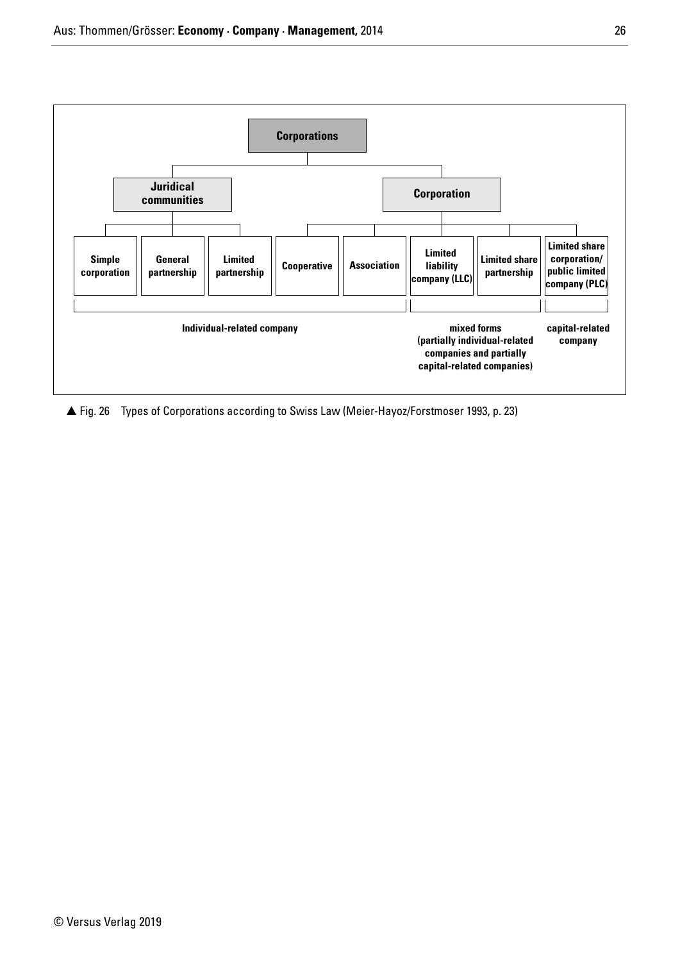

▲ Fig. 26 Types of Corporations according to Swiss Law (Meier-Hayoz/Forstmoser 1993, p. 23)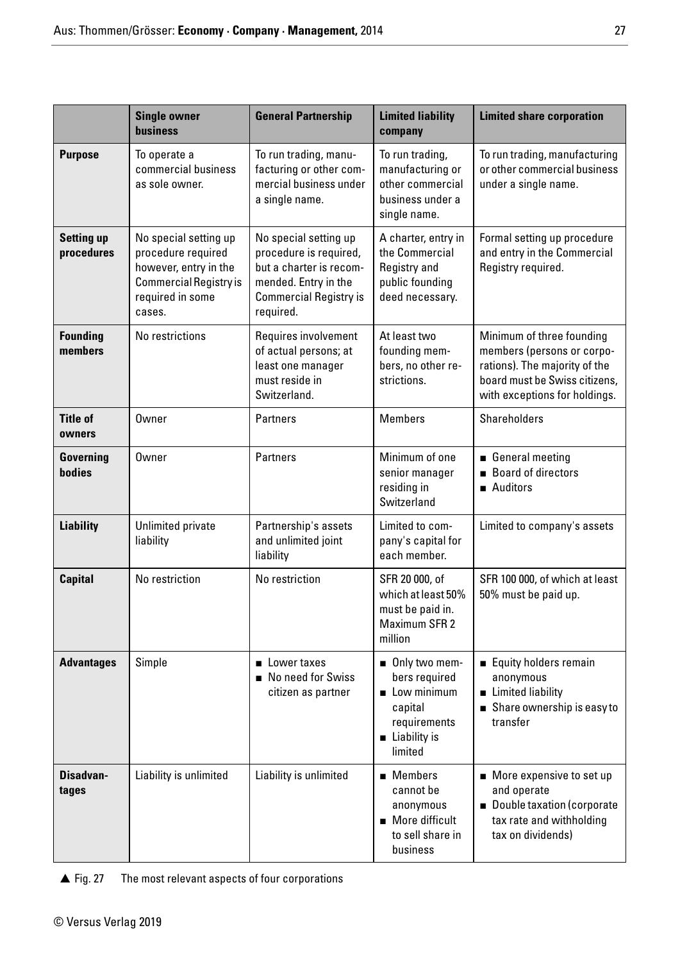|                                 | <b>Single owner</b><br><b>business</b>                                                                                              | <b>General Partnership</b>                                                                                                                                                                                                                      | <b>Limited liability</b><br>company                                                                                | <b>Limited share corporation</b>                                                                                                                           |
|---------------------------------|-------------------------------------------------------------------------------------------------------------------------------------|-------------------------------------------------------------------------------------------------------------------------------------------------------------------------------------------------------------------------------------------------|--------------------------------------------------------------------------------------------------------------------|------------------------------------------------------------------------------------------------------------------------------------------------------------|
| <b>Purpose</b>                  | To operate a<br>commercial business<br>as sole owner.                                                                               | To run trading, manu-<br>facturing or other com-<br>mercial business under<br>a single name.                                                                                                                                                    | To run trading,<br>manufacturing or<br>other commercial<br>business under a<br>single name.                        | To run trading, manufacturing<br>or other commercial business<br>under a single name.                                                                      |
| <b>Setting up</b><br>procedures | No special setting up<br>procedure required<br>however, entry in the<br><b>Commercial Registry is</b><br>required in some<br>cases. | No special setting up<br>A charter, entry in<br>procedure is required,<br>the Commercial<br>but a charter is recom-<br>Registry and<br>mended. Entry in the<br>public founding<br><b>Commercial Registry is</b><br>deed necessary.<br>required. |                                                                                                                    | Formal setting up procedure<br>and entry in the Commercial<br>Registry required.                                                                           |
| <b>Founding</b><br>members      | No restrictions                                                                                                                     | Requires involvement<br>of actual persons; at<br>least one manager<br>must reside in<br>Switzerland.                                                                                                                                            | At least two<br>founding mem-<br>bers, no other re-<br>strictions.                                                 | Minimum of three founding<br>members (persons or corpo-<br>rations). The majority of the<br>board must be Swiss citizens,<br>with exceptions for holdings. |
| <b>Title of</b><br>owners       | Owner                                                                                                                               | Partners                                                                                                                                                                                                                                        | <b>Members</b>                                                                                                     | Shareholders                                                                                                                                               |
| Governing<br>bodies             | <b>Owner</b>                                                                                                                        | <b>Partners</b>                                                                                                                                                                                                                                 | Minimum of one<br>senior manager<br>residing in<br>Switzerland                                                     | General meeting<br><b>Board of directors</b><br>Auditors                                                                                                   |
| <b>Liability</b>                | Unlimited private<br>liability                                                                                                      | Partnership's assets<br>and unlimited joint<br>liability                                                                                                                                                                                        | Limited to com-<br>pany's capital for<br>each member.                                                              | Limited to company's assets                                                                                                                                |
| <b>Capital</b>                  | No restriction                                                                                                                      | No restriction                                                                                                                                                                                                                                  | SFR 20 000, of<br>which at least 50%<br>must be paid in.<br><b>Maximum SFR 2</b><br>million                        | SFR 100 000, of which at least<br>50% must be paid up.                                                                                                     |
| <b>Advantages</b>               | Simple                                                                                                                              | ■ Lower taxes<br>No need for Swiss<br>citizen as partner                                                                                                                                                                                        | Only two mem-<br>bers required<br>Low minimum<br>capital<br>requirements<br>$\blacksquare$ Liability is<br>limited | Equity holders remain<br>anonymous<br>Limited liability<br>Share ownership is easy to<br>transfer                                                          |
| Disadvan-<br>tages              | Liability is unlimited                                                                                                              | Liability is unlimited                                                                                                                                                                                                                          | $\blacksquare$ Members<br>cannot be<br>anonymous<br>More difficult<br>to sell share in<br>business                 | ■ More expensive to set up<br>and operate<br>Double taxation (corporate<br>tax rate and withholding<br>tax on dividends)                                   |

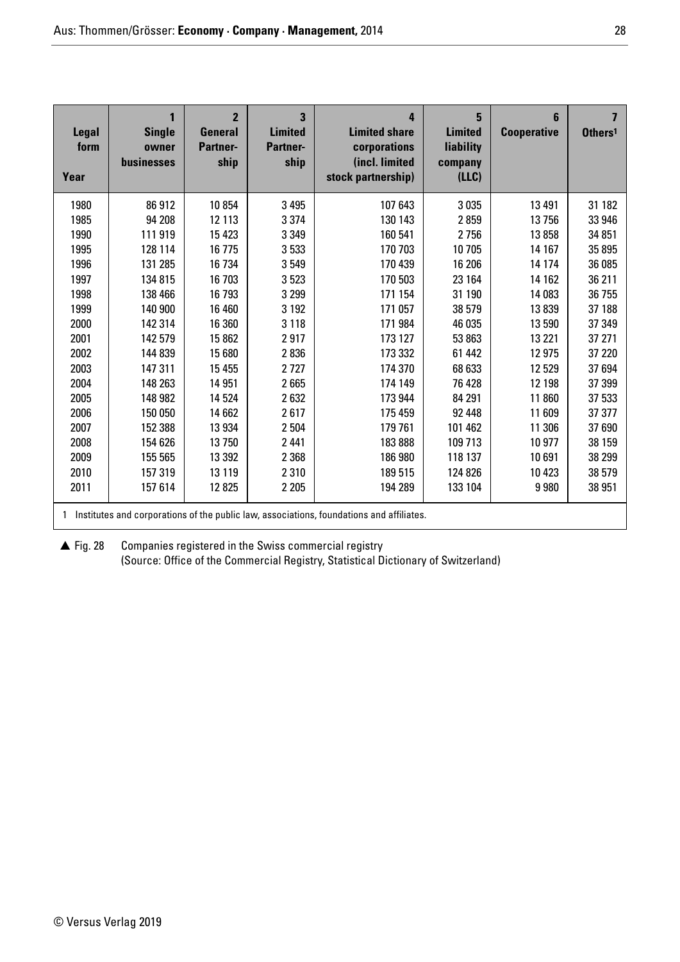| <b>Legal</b><br>form<br>Year | 1<br><b>Single</b><br>owner<br>businesses | $\overline{2}$<br><b>General</b><br><b>Partner-</b><br>ship | 3<br><b>Limited</b><br><b>Partner-</b><br>ship | 4<br><b>Limited share</b><br>corporations<br>(incl. limited<br>stock partnership)        | 5<br><b>Limited</b><br>liability<br>company<br>(LLC) | 6<br><b>Cooperative</b> | $\overline{\mathbf{z}}$<br>Others <sup>1</sup> |
|------------------------------|-------------------------------------------|-------------------------------------------------------------|------------------------------------------------|------------------------------------------------------------------------------------------|------------------------------------------------------|-------------------------|------------------------------------------------|
| 1980                         | 86912                                     | 10854                                                       | 3 4 9 5                                        | 107 643                                                                                  | 3 0 3 5                                              | 13 4 91                 | 31 182                                         |
| 1985                         | 94 208                                    | 12 113                                                      | 3 3 7 4                                        | 130 143                                                                                  | 2859                                                 | 13756                   | 33 946                                         |
| 1990                         | 111 919                                   | 15 4 23                                                     | 3 3 4 9                                        | 160 541                                                                                  | 2756                                                 | 13858                   | 34 851                                         |
| 1995                         | 128 114                                   | 16775                                                       | 3533                                           | 170 703                                                                                  | 10 705                                               | 14 167                  | 35 895                                         |
| 1996                         | 131 285                                   | 16 734                                                      | 3549                                           | 170 439                                                                                  | 16 206                                               | 14 174                  | 36 085                                         |
| 1997                         | 134 815                                   | 16 703                                                      | 3523                                           | 170 503                                                                                  | 23 164                                               | 14 162                  | 36 211                                         |
| 1998                         | 138 466                                   | 16793                                                       | 3 2 9 9                                        | 171 154                                                                                  | 31 190                                               | 14 083                  | 36 755                                         |
| 1999                         | 140 900                                   | 16 460                                                      | 3 1 9 2                                        | 171 057                                                                                  | 38 579                                               | 13839                   | 37 188                                         |
| 2000                         | 142 314                                   | 16 360                                                      | 3 1 1 8                                        | 171 984                                                                                  | 46 035                                               | 13590                   | 37 349                                         |
| 2001                         | 142 579                                   | 15862                                                       | 2917                                           | 173 127                                                                                  | 53 863                                               | 13 2 21                 | 37 271                                         |
| 2002                         | 144 839                                   | 15 680                                                      | 2836                                           | 173 332                                                                                  | 61 442                                               | 12 975                  | 37 220                                         |
| 2003                         | 147 311                                   | 15 4 55                                                     | 2727                                           | 174 370                                                                                  | 68 633                                               | 12529                   | 37 694                                         |
| 2004                         | 148 263                                   | 14 951                                                      | 2665                                           | 174 149                                                                                  | 76 428                                               | 12 198                  | 37 399                                         |
| 2005                         | 148 982                                   | 14 5 24                                                     | 2632                                           | 173 944                                                                                  | 84 291                                               | 11 860                  | 37 533                                         |
| 2006                         | 150 050                                   | 14 662                                                      | 2617                                           | 175 459                                                                                  | 92 448                                               | 11 609                  | 37 377                                         |
| 2007                         | 152 388                                   | 13 934                                                      | 2504                                           | 179 761                                                                                  | 101 462                                              | 11 306                  | 37 690                                         |
| 2008                         | 154 626                                   | 13750                                                       | 2 4 4 1                                        | 183888                                                                                   | 109 713                                              | 10 977                  | 38 159                                         |
| 2009                         | 155 565                                   | 13 3 9 2                                                    | 2 3 6 8                                        | 186 980                                                                                  | 118 137                                              | 10691                   | 38 299                                         |
| 2010                         | 157 319                                   | 13 119                                                      | 2310                                           | 189 515                                                                                  | 124 826                                              | 10 4 23                 | 38 579                                         |
| 2011                         | 157 614                                   | 12825                                                       | 2 2 0 5                                        | 194 289                                                                                  | 133 104                                              | 9980                    | 38 951                                         |
| 1                            |                                           |                                                             |                                                | Institutes and corporations of the public law, associations, foundations and affiliates. |                                                      |                         |                                                |

 $\triangle$  Fig. 28 Companies registered in the Swiss commercial registry (Source: Office of the Commercial Registry, Statistical Dictionary of Switzerland)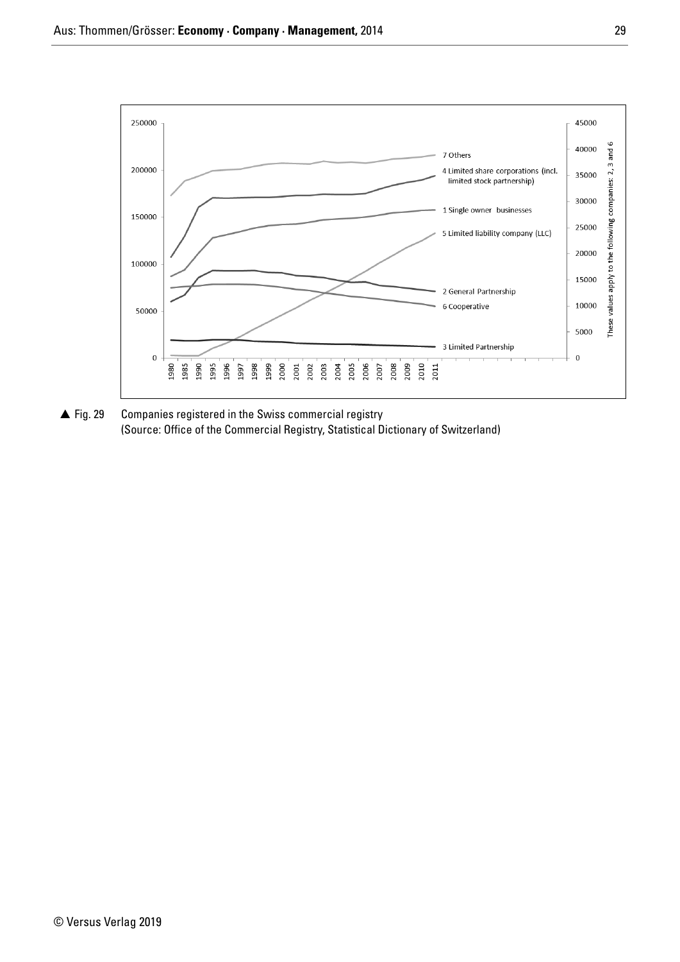

▲ Fig. 29 Companies registered in the Swiss commercial registry (Source: Office of the Commercial Registry, Statistical Dictionary of Switzerland)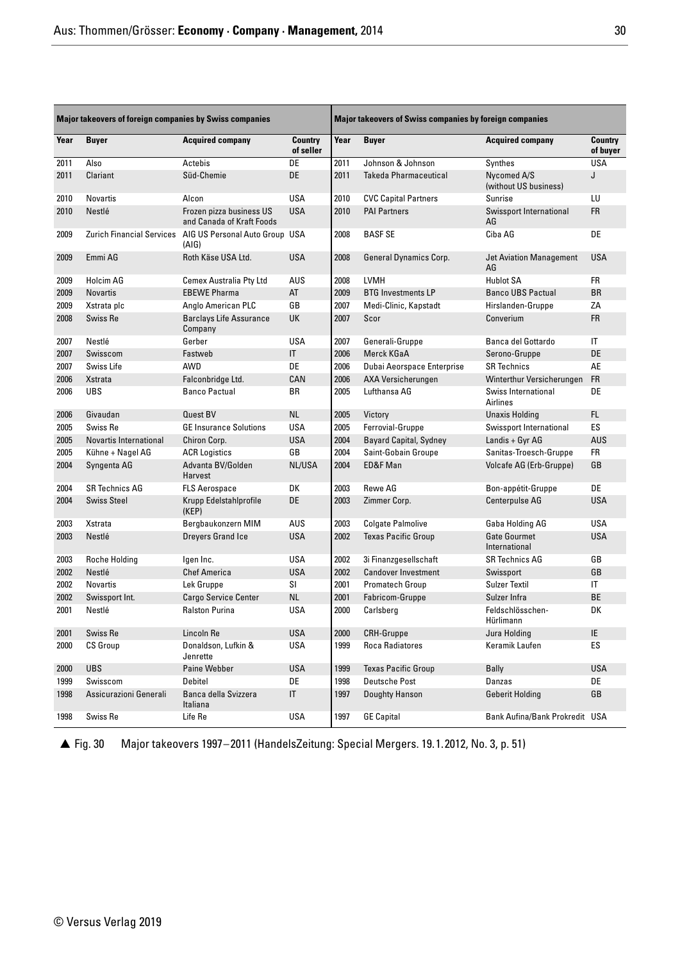| <b>Major takeovers of foreign companies by Swiss companies</b> |                                  |                                                       | <b>Major takeovers of Swiss companies by foreign companies</b> |      |                               |                                      |                        |
|----------------------------------------------------------------|----------------------------------|-------------------------------------------------------|----------------------------------------------------------------|------|-------------------------------|--------------------------------------|------------------------|
| Year                                                           | <b>Buyer</b>                     | <b>Acquired company</b>                               | <b>Country</b><br>of seller                                    | Year | <b>Buyer</b>                  | <b>Acquired company</b>              | Country<br>of buyer    |
| 2011                                                           | Also                             | Actebis                                               | DE                                                             | 2011 | Johnson & Johnson             | Synthes                              | <b>USA</b>             |
| 2011                                                           | Clariant                         | Süd-Chemie                                            | DE                                                             | 2011 | <b>Takeda Pharmaceutical</b>  | Nycomed A/S<br>(without US business) | J                      |
| 2010                                                           | Novartis                         | Alcon                                                 | <b>USA</b>                                                     | 2010 | <b>CVC Capital Partners</b>   | Sunrise                              | LU                     |
| 2010                                                           | Nestlé                           | Frozen pizza business US<br>and Canada of Kraft Foods | <b>USA</b>                                                     | 2010 | <b>PAI Partners</b>           | Swissport International<br>AG        | <b>FR</b>              |
| 2009                                                           | <b>Zurich Financial Services</b> | AIG US Personal Auto Group USA<br>(AIG)               |                                                                | 2008 | <b>BASF SE</b>                | Ciba AG                              | DE                     |
| 2009                                                           | Emmi AG                          | Roth Käse USA Ltd.                                    | <b>USA</b>                                                     | 2008 | <b>General Dynamics Corp.</b> | <b>Jet Aviation Management</b><br>AG | <b>USA</b>             |
| 2009                                                           | Holcim AG                        | <b>Cemex Australia Pty Ltd</b>                        | AUS                                                            | 2008 | <b>LVMH</b>                   | <b>Hublot SA</b>                     | <b>FR</b>              |
| 2009                                                           | <b>Novartis</b>                  | <b>EBEWE Pharma</b>                                   | AT                                                             | 2009 | <b>BTG Investments LP</b>     | <b>Banco UBS Pactual</b>             | <b>BR</b>              |
| 2009                                                           | Xstrata plc                      | Anglo American PLC                                    | GB                                                             | 2007 | Medi-Clinic, Kapstadt         | Hirslanden-Gruppe                    | ZA                     |
| 2008                                                           | Swiss Re                         | <b>Barclays Life Assurance</b><br>Company             | UK                                                             | 2007 | Scor                          | Converium                            | <b>FR</b>              |
| 2007                                                           | Nestlé                           | Gerber                                                | <b>USA</b>                                                     | 2007 | Generali-Gruppe               | Banca del Gottardo                   | $\mathsf{I}\mathsf{T}$ |
| 2007                                                           | Swisscom                         | Fastweb                                               | IT                                                             | 2006 | Merck KGaA                    | Serono-Gruppe                        | DE                     |
| 2007                                                           | Swiss Life                       | AWD                                                   | DE                                                             | 2006 | Dubai Aeorspace Enterprise    | <b>SR Technics</b>                   | AE                     |
| 2006                                                           | Xstrata                          | Falconbridge Ltd.                                     | CAN                                                            | 2006 | AXA Versicherungen            | Winterthur Versicherungen            | <b>FR</b>              |
| 2006                                                           | <b>UBS</b>                       | <b>Banco Pactual</b>                                  | ΒR                                                             | 2005 | Lufthansa AG                  | Swiss International<br>Airlines      | DE                     |
| 2006                                                           | Givaudan                         | <b>Quest BV</b>                                       | <b>NL</b>                                                      | 2005 | Victory                       | <b>Unaxis Holding</b>                | FL.                    |
| 2005                                                           | Swiss Re                         | <b>GE Insurance Solutions</b>                         | <b>USA</b>                                                     | 2005 | Ferrovial-Gruppe              | Swissport International              | ES                     |
| 2005                                                           | Novartis International           | Chiron Corp.                                          | <b>USA</b>                                                     | 2004 | <b>Bayard Capital, Sydney</b> | Landis + Gyr AG                      | AUS                    |
| 2005                                                           | Kühne + Nagel AG                 | <b>ACR Logistics</b>                                  | GB                                                             | 2004 | Saint-Gobain Groupe           | Sanitas-Troesch-Gruppe               | <b>FR</b>              |
| 2004                                                           | Syngenta AG                      | Advanta BV/Golden<br>Harvest                          | NL/USA                                                         | 2004 | ED&F Man                      | Volcafe AG (Erb-Gruppe)              | GB                     |
| 2004                                                           | <b>SR Technics AG</b>            | <b>FLS Aerospace</b>                                  | DK                                                             | 2003 | Rewe AG                       | Bon-appétit-Gruppe                   | DE                     |
| 2004                                                           | <b>Swiss Steel</b>               | Krupp Edelstahlprofile<br>(KEP)                       | DE                                                             | 2003 | Zimmer Corp.                  | Centerpulse AG                       | <b>USA</b>             |
| 2003                                                           | Xstrata                          | Bergbaukonzern MIM                                    | AUS                                                            | 2003 | <b>Colgate Palmolive</b>      | Gaba Holding AG                      | <b>USA</b>             |
| 2003                                                           | Nestlé                           | Dreyers Grand Ice                                     | <b>USA</b>                                                     | 2002 | <b>Texas Pacific Group</b>    | <b>Gate Gourmet</b><br>International | <b>USA</b>             |
| 2003                                                           | <b>Roche Holding</b>             | Igen Inc.                                             | <b>USA</b>                                                     | 2002 | 3i Finanzgesellschaft         | <b>SR Technics AG</b>                | GB                     |
| 2002                                                           | Nestlé                           | <b>Chef America</b>                                   | <b>USA</b>                                                     | 2002 | <b>Candover Investment</b>    | Swissport                            | GB                     |
| 2002                                                           | <b>Novartis</b>                  | Lek Gruppe                                            | SI                                                             | 2001 | <b>Promatech Group</b>        | <b>Sulzer Textil</b>                 | IT                     |
| 2002                                                           | Swissport Int.                   | <b>Cargo Service Center</b>                           | <b>NL</b>                                                      | 2001 | Fabricom-Gruppe               | Sulzer Infra                         | <b>BE</b>              |
| 2001                                                           | Nestlé                           | <b>Ralston Purina</b>                                 | USA                                                            | 2000 | Carlsberg                     | Feldschlösschen-<br>Hürlimann        | DK                     |
| 2001                                                           | Swiss Re                         | Lincoln Re                                            | <b>USA</b>                                                     | 2000 | <b>CRH-Gruppe</b>             | Jura Holding                         | IE                     |
| 2000                                                           | <b>CS Group</b>                  | Donaldson, Lufkin &<br>Jenrette                       | <b>USA</b>                                                     | 1999 | Roca Radiatores               | Keramik Laufen                       | <b>ES</b>              |
| 2000                                                           | <b>UBS</b>                       | Paine Webber                                          | <b>USA</b>                                                     | 1999 | <b>Texas Pacific Group</b>    | Bally                                | <b>USA</b>             |
| 1999                                                           | Swisscom                         | Debitel                                               | DE                                                             | 1998 | <b>Deutsche Post</b>          | Danzas                               | DE                     |
| 1998                                                           | Assicurazioni Generali           | Banca della Svizzera<br>Italiana                      | IT                                                             | 1997 | Doughty Hanson                | <b>Geberit Holding</b>               | GB                     |
| 1998                                                           | Swiss Re                         | Life Re                                               | <b>USA</b>                                                     | 1997 | <b>GE Capital</b>             | Bank Aufina/Bank Prokredit USA       |                        |

▲ Fig. 30 Major takeovers 1997-2011 (HandelsZeitung: Special Mergers. 19.1.2012, No. 3, p. 51)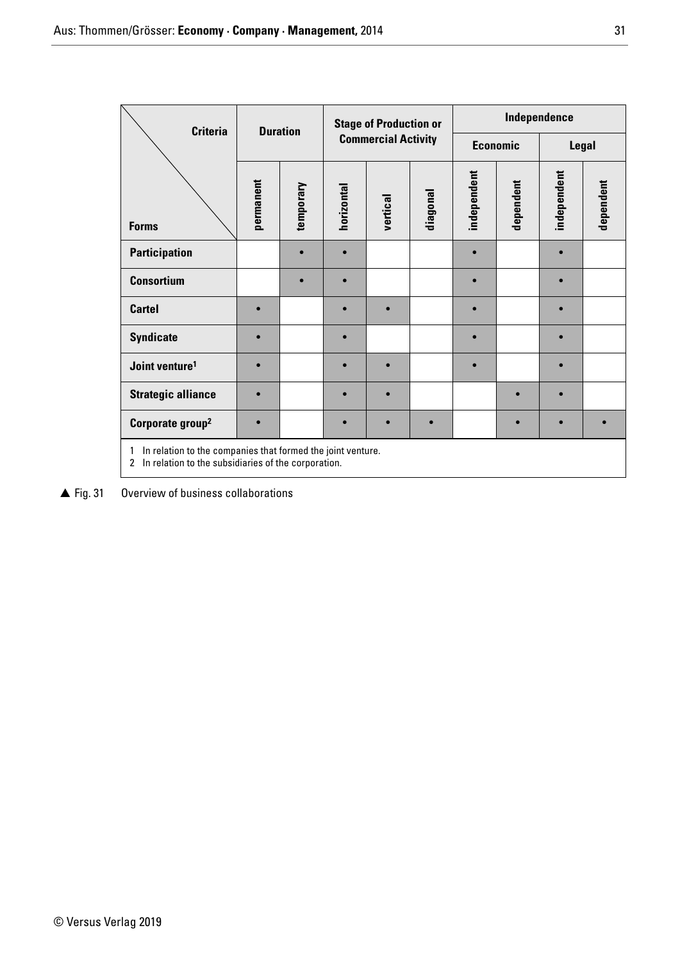| <b>Criteria</b>                                                                                                                           |           | <b>Stage of Production or</b><br><b>Duration</b> |                            |           | Independence |             |           |             |           |
|-------------------------------------------------------------------------------------------------------------------------------------------|-----------|--------------------------------------------------|----------------------------|-----------|--------------|-------------|-----------|-------------|-----------|
|                                                                                                                                           |           |                                                  | <b>Commercial Activity</b> |           |              | Economic    |           | Legal       |           |
| <b>Forms</b>                                                                                                                              | permanent | temporary                                        | horizontal                 | vertical  | diagonal     | independent | dependent | independent | dependent |
| <b>Participation</b>                                                                                                                      |           |                                                  |                            |           |              | $\bullet$   |           |             |           |
| <b>Consortium</b>                                                                                                                         |           |                                                  |                            |           |              |             |           |             |           |
| <b>Cartel</b>                                                                                                                             | $\bullet$ |                                                  |                            |           |              |             |           |             |           |
| <b>Syndicate</b>                                                                                                                          | $\bullet$ |                                                  |                            |           |              |             |           |             |           |
| Joint venture <sup>1</sup>                                                                                                                |           |                                                  |                            |           |              |             |           |             |           |
| <b>Strategic alliance</b>                                                                                                                 | $\bullet$ |                                                  |                            |           |              |             |           |             |           |
| Corporate group <sup>2</sup>                                                                                                              | $\bullet$ |                                                  |                            | $\bullet$ | $\bullet$    |             |           |             | $\bullet$ |
| In relation to the companies that formed the joint venture.<br>1<br>In relation to the subsidiaries of the corporation.<br>$\overline{2}$ |           |                                                  |                            |           |              |             |           |             |           |

▲ Fig. 31 Overview of business collaborations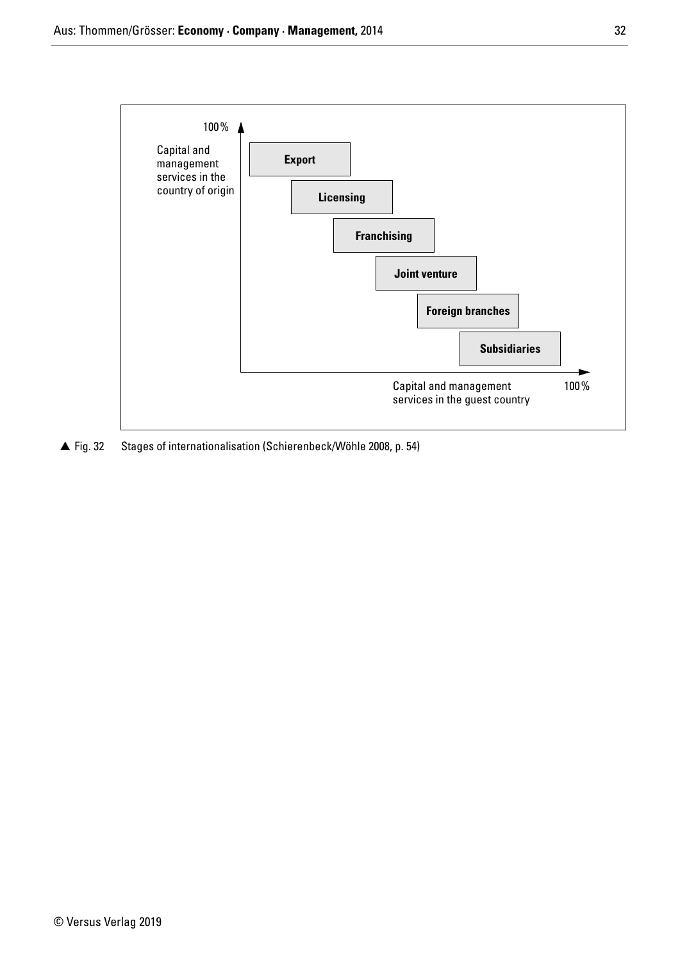

▲ Fig. 32 Stages of internationalisation (Schierenbeck/Wöhle 2008, p. 54)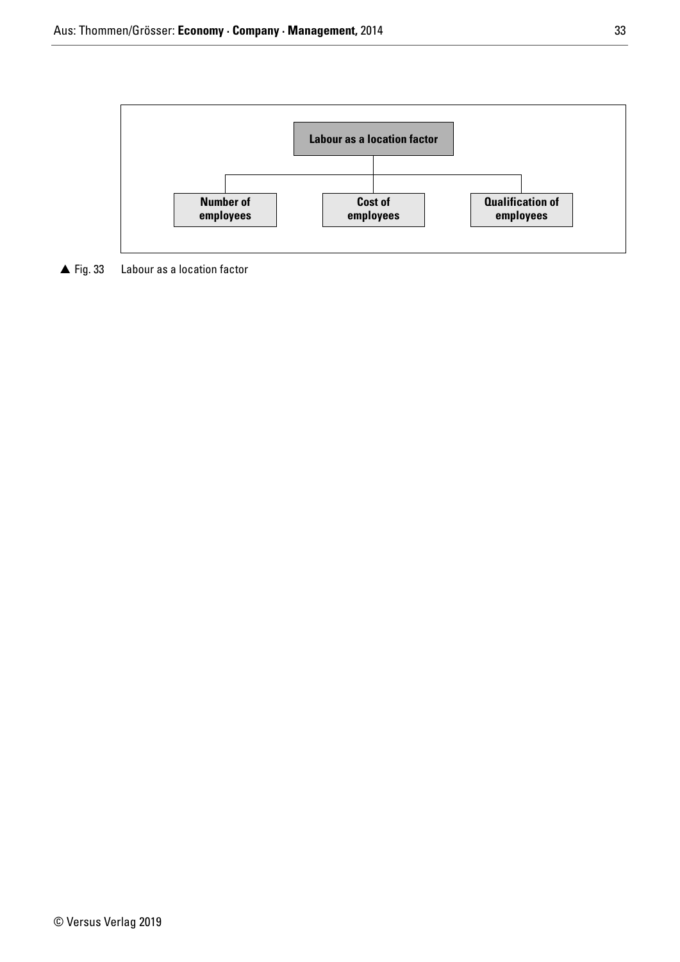

 $\triangle$  Fig. 33 Labour as a location factor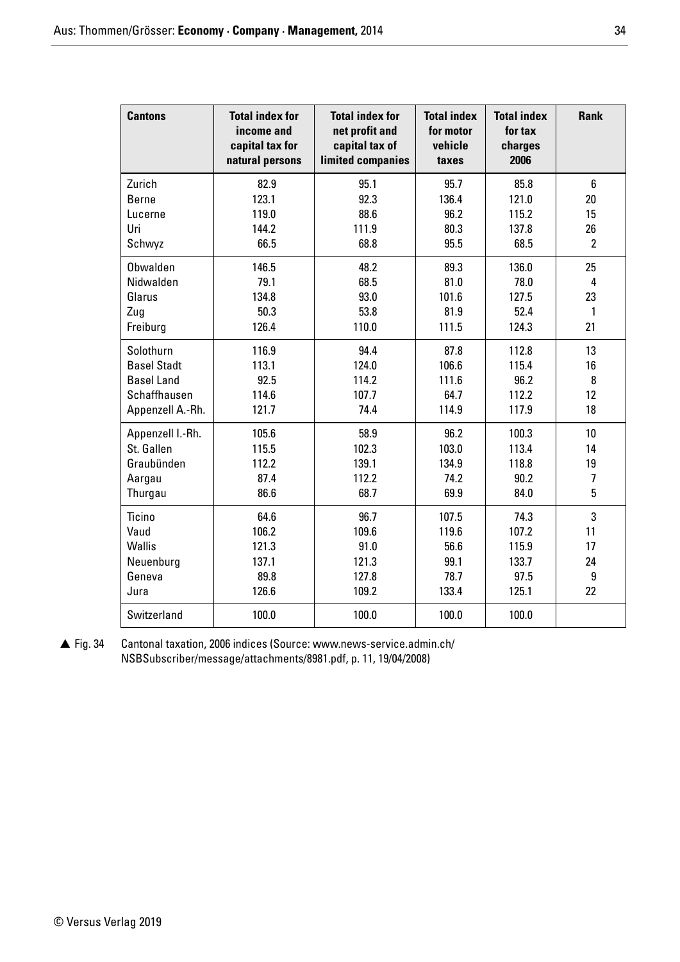| <b>Cantons</b>     | <b>Total index for</b><br>income and<br>capital tax for<br>natural persons | <b>Total index for</b><br>net profit and<br>capital tax of<br>limited companies | <b>Total index</b><br>for motor<br>vehicle<br>taxes | <b>Total index</b><br>for tax<br>charges<br>2006 | <b>Rank</b>     |
|--------------------|----------------------------------------------------------------------------|---------------------------------------------------------------------------------|-----------------------------------------------------|--------------------------------------------------|-----------------|
| Zurich             | 82.9                                                                       | 95.1                                                                            | 95.7                                                | 85.8                                             | 6               |
| <b>Berne</b>       | 123.1                                                                      | 92.3                                                                            | 136.4                                               | 121.0                                            | 20              |
| Lucerne            | 119.0                                                                      | 88.6                                                                            | 96.2                                                | 115.2                                            | 15              |
| Uri                | 144.2                                                                      | 111.9                                                                           | 80.3                                                | 137.8                                            | 26              |
| Schwyz             | 66.5                                                                       | 68.8                                                                            | 95.5                                                | 68.5                                             | $\overline{2}$  |
| Obwalden           | 146.5                                                                      | 48.2                                                                            | 89.3                                                | 136.0                                            | 25              |
| Nidwalden          | 79.1                                                                       | 68.5                                                                            | 81.0                                                | 78.0                                             | 4               |
| Glarus             | 134.8                                                                      | 93.0                                                                            | 101.6                                               | 127.5                                            | 23              |
| Zug                | 50.3                                                                       | 53.8                                                                            | 81.9                                                | 52.4                                             | $\mathbf{1}$    |
| Freiburg           | 126.4                                                                      | 110.0                                                                           | 111.5                                               | 124.3                                            | 21              |
| Solothurn          | 116.9                                                                      | 94.4                                                                            | 87.8                                                | 112.8                                            | 13              |
| <b>Basel Stadt</b> | 113.1                                                                      | 124.0                                                                           | 106.6                                               | 115.4                                            | 16              |
| <b>Basel Land</b>  | 92.5                                                                       | 114.2                                                                           | 111.6                                               | 96.2                                             | 8               |
| Schaffhausen       | 114.6                                                                      | 107.7                                                                           | 64.7                                                | 112.2                                            | 12              |
| Appenzell A.-Rh.   | 121.7                                                                      | 74.4                                                                            | 114.9                                               | 117.9                                            | 18              |
| Appenzell I.-Rh.   | 105.6                                                                      | 58.9                                                                            | 96.2                                                | 100.3                                            | 10 <sup>1</sup> |
| St. Gallen         | 115.5                                                                      | 102.3                                                                           | 103.0                                               | 113.4                                            | 14              |
| Graubünden         | 112.2                                                                      | 139.1                                                                           | 134.9                                               | 118.8                                            | 19              |
| Aargau             | 87.4                                                                       | 112.2                                                                           | 74.2                                                | 90.2                                             | $\overline{1}$  |
| Thurgau            | 86.6                                                                       | 68.7                                                                            | 69.9                                                | 84.0                                             | 5               |
| Ticino             | 64.6                                                                       | 96.7                                                                            | 107.5                                               | 74.3                                             | 3               |
| Vaud               | 106.2                                                                      | 109.6                                                                           | 119.6                                               | 107.2                                            | 11              |
| <b>Wallis</b>      | 121.3                                                                      | 91.0                                                                            | 56.6                                                | 115.9                                            | 17              |
| Neuenburg          | 137.1                                                                      | 121.3                                                                           | 99.1                                                | 133.7                                            | 24              |
| Geneva             | 89.8                                                                       | 127.8                                                                           | 78.7                                                | 97.5                                             | 9               |
| Jura               | 126.6                                                                      | 109.2                                                                           | 133.4                                               | 125.1                                            | 22              |
| Switzerland        | 100.0                                                                      | 100.0                                                                           | 100.0                                               | 100.0                                            |                 |

 $\triangle$  Fig. 34 Cantonal taxation, 2006 indices (Source: www.news-service.admin.ch/ NSBSubscriber/message/attachments/8981.pdf, p. 11, 19/04/2008)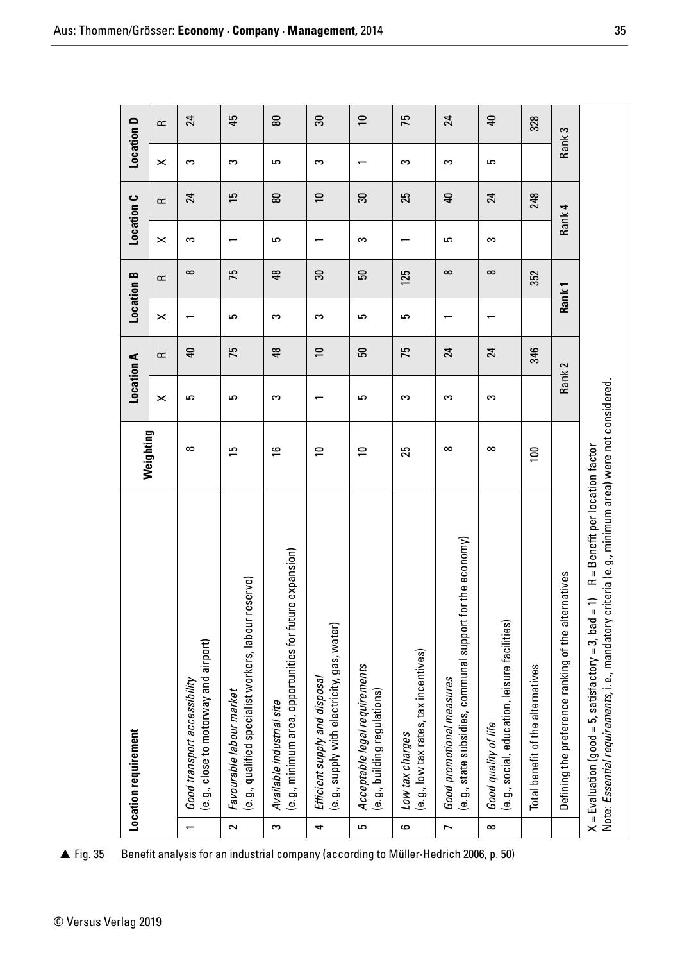| <b>Location D</b><br><b>Location C</b> | $\boldsymbol{\times}$<br>$\simeq$ | S<br>24                                                                                           | S<br>15                                                                                    | G<br>58                                                                                        | S                                                                                 |                                                                    | S                                                                   | S                                                                                                                  | 5                                                                                 | 328                               | S<br>Rank                                           |                                                                                                                                                                                                    |
|----------------------------------------|-----------------------------------|---------------------------------------------------------------------------------------------------|--------------------------------------------------------------------------------------------|------------------------------------------------------------------------------------------------|-----------------------------------------------------------------------------------|--------------------------------------------------------------------|---------------------------------------------------------------------|--------------------------------------------------------------------------------------------------------------------|-----------------------------------------------------------------------------------|-----------------------------------|-----------------------------------------------------|----------------------------------------------------------------------------------------------------------------------------------------------------------------------------------------------------|
|                                        |                                   |                                                                                                   |                                                                                            |                                                                                                |                                                                                   |                                                                    |                                                                     |                                                                                                                    |                                                                                   |                                   |                                                     |                                                                                                                                                                                                    |
|                                        |                                   |                                                                                                   |                                                                                            |                                                                                                | $\overline{a}$                                                                    | ౚ                                                                  | 25                                                                  | $\overline{a}$                                                                                                     | 24                                                                                | 248                               |                                                     |                                                                                                                                                                                                    |
|                                        |                                   |                                                                                                   |                                                                                            |                                                                                                |                                                                                   |                                                                    |                                                                     |                                                                                                                    |                                                                                   |                                   | 4<br>Rank                                           |                                                                                                                                                                                                    |
|                                        | $\boldsymbol{\times}$             | S<br>$\infty$                                                                                     |                                                                                            | G                                                                                              |                                                                                   | S                                                                  |                                                                     | 5<br>$\infty$                                                                                                      | S<br>$\infty$                                                                     |                                   |                                                     |                                                                                                                                                                                                    |
| <b>Location B</b>                      | $\approx$                         |                                                                                                   | 75                                                                                         | 48                                                                                             | $30\,$                                                                            | 50                                                                 | 125                                                                 |                                                                                                                    |                                                                                   | 352                               | Rank <sub>1</sub>                                   |                                                                                                                                                                                                    |
|                                        | $\boldsymbol{\times}$             | $\overline{\phantom{0}}$                                                                          | 5                                                                                          | S                                                                                              | S                                                                                 | 5                                                                  | G                                                                   | $\overline{\phantom{0}}$                                                                                           |                                                                                   |                                   |                                                     |                                                                                                                                                                                                    |
|                                        | $\approx$                         | $\overline{a}$                                                                                    | 75                                                                                         | $\frac{8}{2}$                                                                                  | $\overline{a}$                                                                    | 50                                                                 | 75                                                                  | 24                                                                                                                 | 24                                                                                | 346                               |                                                     |                                                                                                                                                                                                    |
| <b>Location A</b>                      | $\boldsymbol{\times}$             | 5                                                                                                 | 5                                                                                          | S                                                                                              |                                                                                   | 5                                                                  | S                                                                   | S                                                                                                                  | S                                                                                 |                                   | Rank <sub>2</sub>                                   |                                                                                                                                                                                                    |
| Weighting                              |                                   | $\infty$                                                                                          | 51                                                                                         | $\frac{1}{2}$                                                                                  | $\overline{a}$                                                                    | $\overline{a}$                                                     | 25                                                                  | $\infty$                                                                                                           | $\infty$                                                                          | $\Xi$                             |                                                     |                                                                                                                                                                                                    |
| <b>Location requirement</b>            |                                   | (e.g., close to motorway and airport)<br>Good transport accessibility<br>$\overline{\phantom{0}}$ | (e.g., qualified specialist workers, labour reserve)<br>Favourable labour market<br>$\sim$ | re expansion)<br>(e.g., minimum area, opportunities for futu<br>Available industrial site<br>က | (e.g., supply with electricity, gas, water)<br>Efficient supply and disposal<br>4 | Acceptable legal requirements<br>(e.g., building regulations)<br>5 | (e.g., low tax rates, tax incentives)<br>Low tax charges<br>$\circ$ | (e.g., state subsidies, communal support for the economy)<br>Good promotional measures<br>$\overline{\phantom{a}}$ | (e.g., social, education, leisure facilities)<br>Good quality of life<br>$\infty$ | Total benefit of the alternatives | Defining the preference ranking of the alternatives | X = Evaluation (good = 5, satisfactory = 3, bad = 1)    R = Benefit per location factor<br>Note: <i>Essential requirements,</i> i.e., mandatory criteria (e.g., minimum area) were not considered. |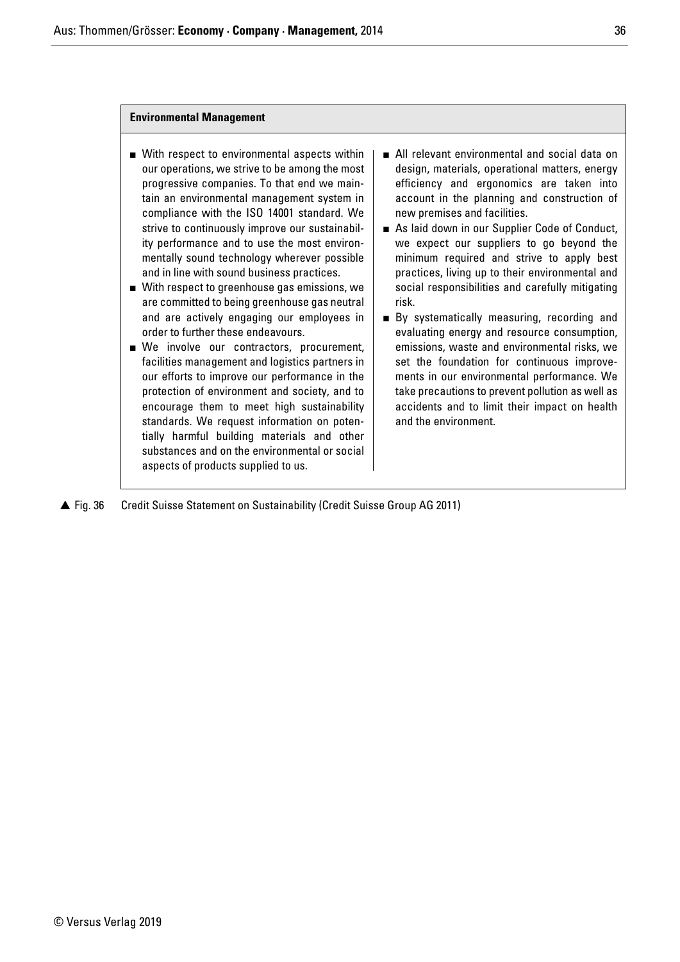## **Environmental Management**

- With respect to environmental aspects within our operations, we strive to be among the most progressive companies. To that end we maintain an environmental management system in compliance with the ISO 14001 standard. We strive to continuously improve our sustainability performance and to use the most environmentally sound technology wherever possible and in line with sound business practices.
- With respect to greenhouse gas emissions, we are committed to being greenhouse gas neutral and are actively engaging our employees in order to further these endeavours.
- We involve our contractors, procurement, facilities management and logistics partners in our efforts to improve our performance in the protection of environment and society, and to encourage them to meet high sustainability standards. We request information on potentially harmful building materials and other substances and on the environmental or social aspects of products supplied to us.
- All relevant environmental and social data on design, materials, operational matters, energy efficiency and ergonomics are taken into account in the planning and construction of new premises and facilities.
- As laid down in our Supplier Code of Conduct, we expect our suppliers to go beyond the minimum required and strive to apply best practices, living up to their environmental and social responsibilities and carefully mitigating risk.
- By systematically measuring, recording and evaluating energy and resource consumption, emissions, waste and environmental risks, we set the foundation for continuous improvements in our environmental performance. We take precautions to prevent pollution as well as accidents and to limit their impact on health and the environment.
- ▲ Fig. 36 Fig. 36 Credit Suisse Statement on Sustainability (Credit Suisse Group AG 2011)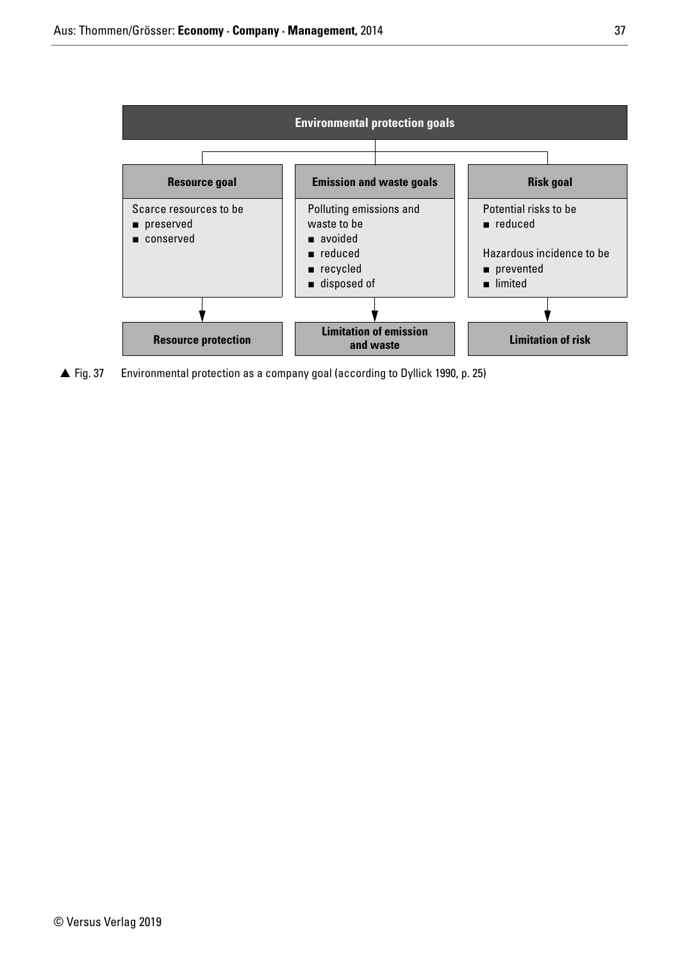

▲ Fig. 37 Environmental protection as a company goal (according to Dyllick 1990, p. 25)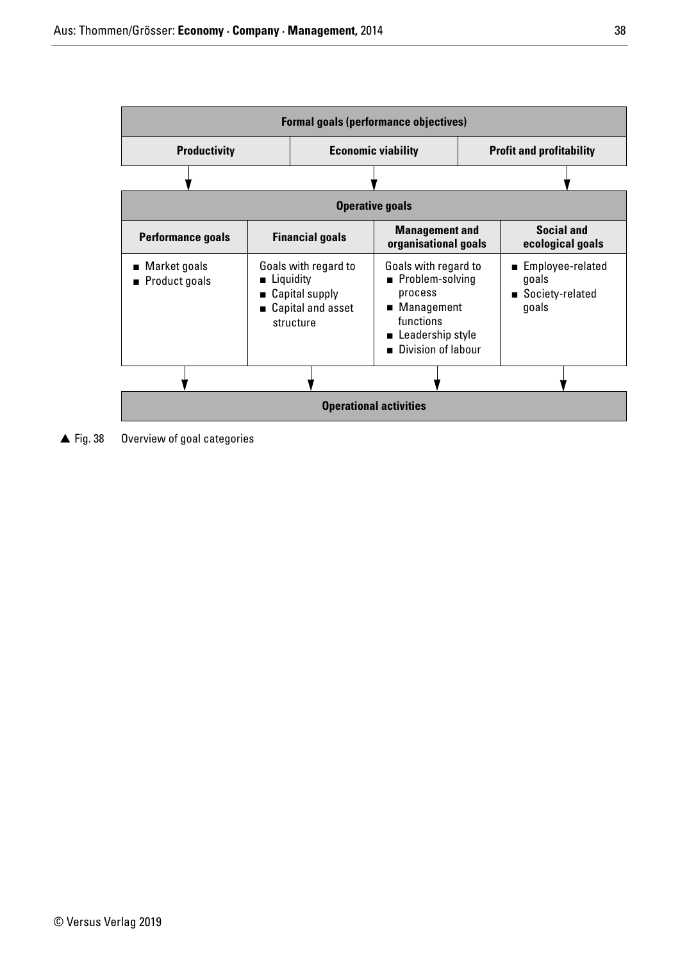| <b>Formal goals (performance objectives)</b> |                                                                                           |                           |                                                                                                                                             |  |                                                         |  |  |
|----------------------------------------------|-------------------------------------------------------------------------------------------|---------------------------|---------------------------------------------------------------------------------------------------------------------------------------------|--|---------------------------------------------------------|--|--|
| <b>Productivity</b>                          |                                                                                           | <b>Economic viability</b> | <b>Profit and profitability</b>                                                                                                             |  |                                                         |  |  |
|                                              |                                                                                           |                           |                                                                                                                                             |  |                                                         |  |  |
| <b>Operative goals</b>                       |                                                                                           |                           |                                                                                                                                             |  |                                                         |  |  |
| <b>Performance goals</b>                     |                                                                                           | <b>Financial goals</b>    | <b>Management and</b><br>organisational goals                                                                                               |  | <b>Social and</b><br>ecological goals                   |  |  |
| $\blacksquare$ Market goals<br>Product goals | Goals with regard to<br>Liquidity<br>■ Capital supply<br>■ Capital and asset<br>structure |                           | Goals with regard to<br>Problem-solving<br>process<br>■ Management<br>functions<br>Leadership style<br>Division of labour<br>$\blacksquare$ |  | ■ Employee-related<br>goals<br>Society-related<br>goals |  |  |
|                                              |                                                                                           |                           |                                                                                                                                             |  |                                                         |  |  |
| <b>Operational activities</b>                |                                                                                           |                           |                                                                                                                                             |  |                                                         |  |  |

▲ Fig. 38 Overview of goal categories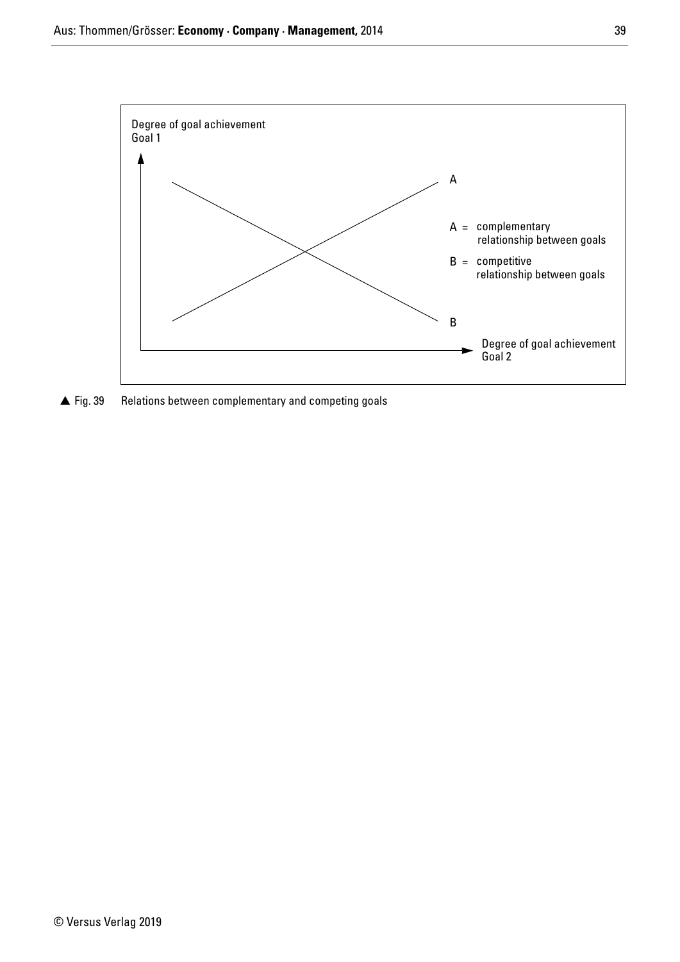

 $\triangle$  Fig. 39 Relations between complementary and competing goals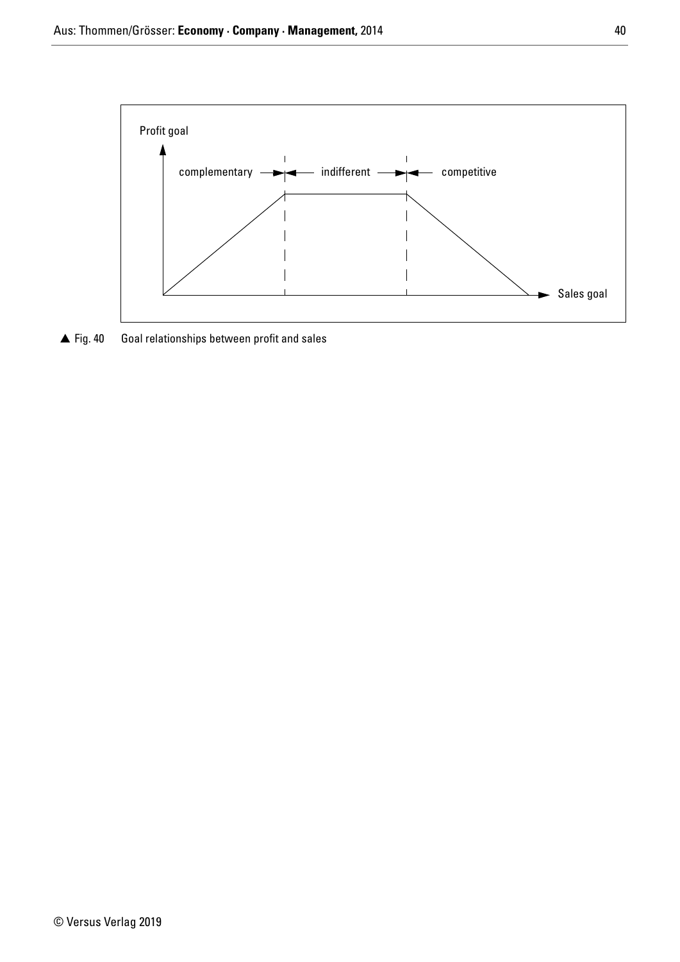

 $\triangle$  Fig. 40 Goal relationships between profit and sales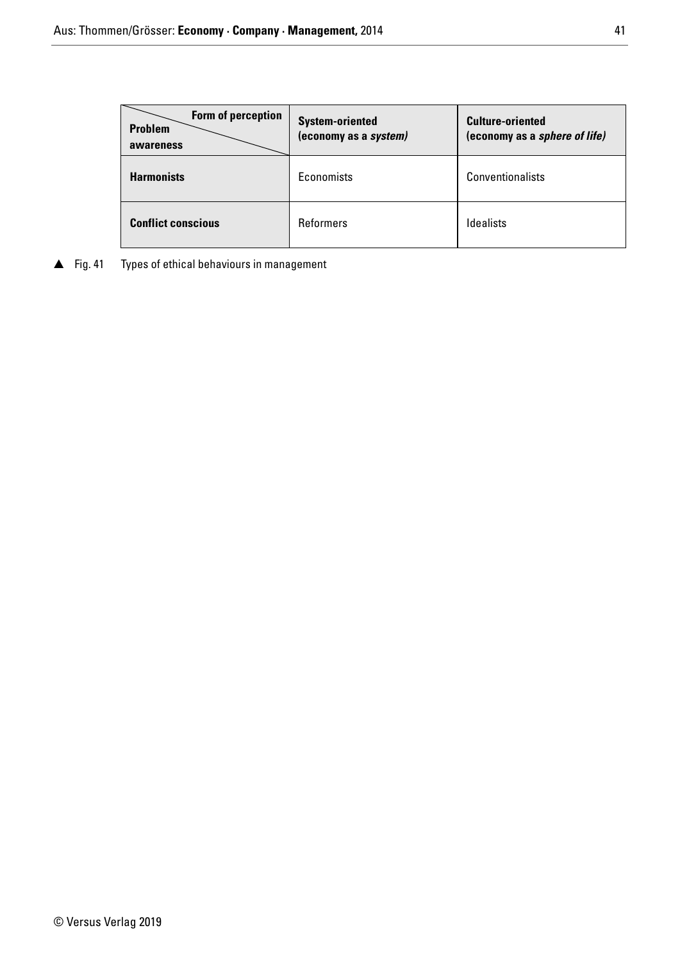| Form of perception<br><b>Problem</b><br>awareness | <b>System-oriented</b><br>(economy as a system) | <b>Culture-oriented</b><br>(economy as a <i>sphere of life)</i> |
|---------------------------------------------------|-------------------------------------------------|-----------------------------------------------------------------|
| <b>Harmonists</b>                                 | Economists                                      | Conventionalists                                                |
| <b>Conflict conscious</b>                         | Reformers                                       | <b>Idealists</b>                                                |

▲ Fig. 41 Types of ethical behaviours in management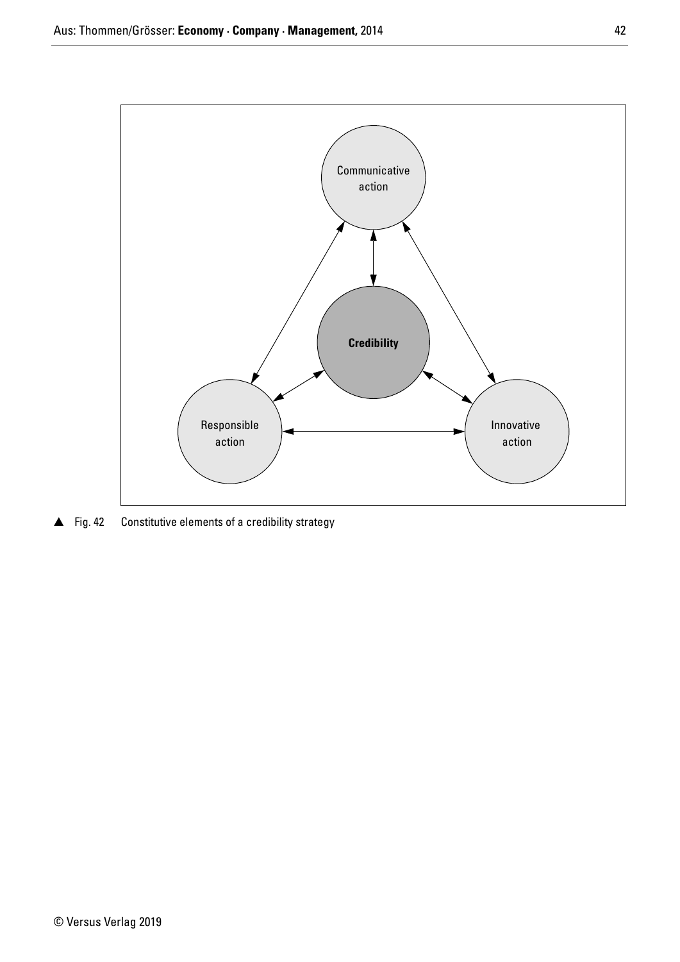

 $\triangle$  Fig. 42 Constitutive elements of a credibility strategy